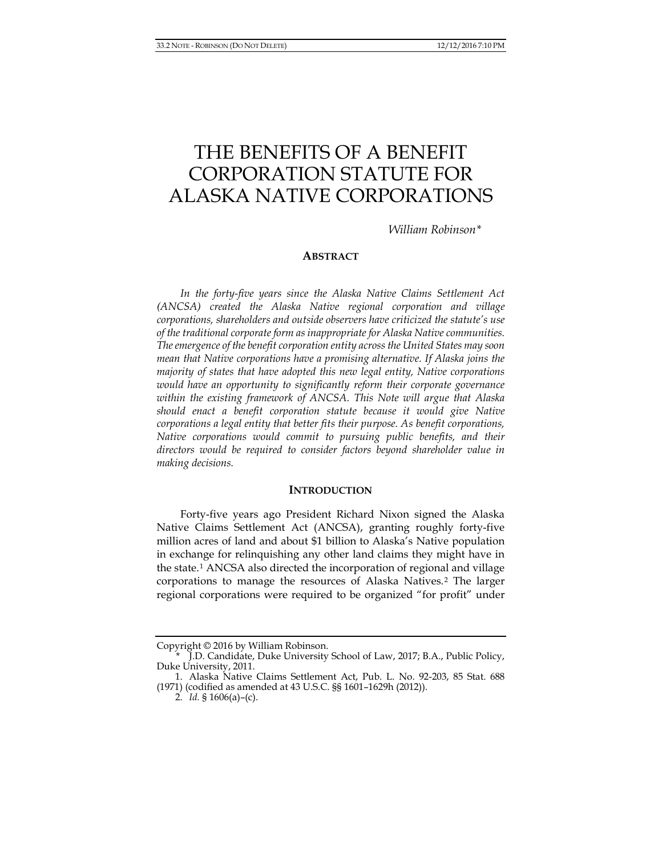# THE BENEFITS OF A BENEFIT CORPORATION STATUTE FOR ALASKA NATIVE CORPORATIONS

*William Robinson[\\*](#page-0-0)*

#### **ABSTRACT**

*In the forty-five years since the Alaska Native Claims Settlement Act (ANCSA) created the Alaska Native regional corporation and village corporations, shareholders and outside observers have criticized the statute's use of the traditional corporate form as inappropriate for Alaska Native communities. The emergence of the benefit corporation entity across the United States may soon mean that Native corporations have a promising alternative. If Alaska joins the majority of states that have adopted this new legal entity, Native corporations would have an opportunity to significantly reform their corporate governance within the existing framework of ANCSA. This Note will argue that Alaska should enact a benefit corporation statute because it would give Native corporations a legal entity that better fits their purpose. As benefit corporations, Native corporations would commit to pursuing public benefits, and their directors would be required to consider factors beyond shareholder value in making decisions.*

#### **INTRODUCTION**

Forty-five years ago President Richard Nixon signed the Alaska Native Claims Settlement Act (ANCSA), granting roughly forty-five million acres of land and about \$1 billion to Alaska's Native population in exchange for relinquishing any other land claims they might have in the state.[1](#page-0-1) ANCSA also directed the incorporation of regional and village corporations to manage the resources of Alaska Natives.[2](#page-0-2) The larger regional corporations were required to be organized "for profit" under

<span id="page-0-0"></span>Copyright © 2016 by William Robinson.

<sup>\*</sup> J.D. Candidate, Duke University School of Law, 2017; B.A., Public Policy, Duke University, 2011.

<span id="page-0-2"></span><span id="page-0-1"></span><sup>1.</sup> Alaska Native Claims Settlement Act, Pub. L. No. 92-203, 85 Stat. 688 (1971) (codified as amended at 43 U.S.C. §§ 1601–1629h (2012)).

<sup>2.</sup> *Id.* § 1606(a)–(c).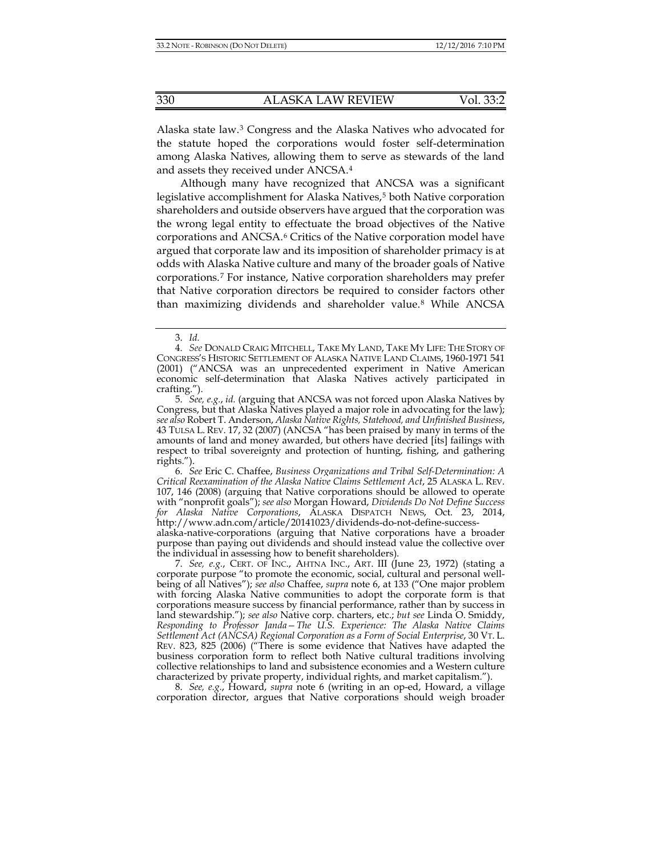Alaska state law.[3](#page-1-1) Congress and the Alaska Natives who advocated for the statute hoped the corporations would foster self-determination among Alaska Natives, allowing them to serve as stewards of the land and assets they received under ANCSA.[4](#page-1-2)

<span id="page-1-8"></span><span id="page-1-7"></span><span id="page-1-0"></span>Although many have recognized that ANCSA was a significant legislative accomplishment for Alaska Natives,<sup>[5](#page-1-3)</sup> both Native corporation shareholders and outside observers have argued that the corporation was the wrong legal entity to effectuate the broad objectives of the Native corporations and ANCSA.[6](#page-1-4) Critics of the Native corporation model have argued that corporate law and its imposition of shareholder primacy is at odds with Alaska Native culture and many of the broader goals of Native corporations.[7](#page-1-5) For instance, Native corporation shareholders may prefer that Native corporation directors be required to consider factors other than maximizing dividends and shareholder value.<sup>[8](#page-1-6)</sup> While ANCSA

<span id="page-1-4"></span>6. *See* Eric C. Chaffee, *Business Organizations and Tribal Self-Determination: A Critical Reexamination of the Alaska Native Claims Settlement Act*, 25 ALASKA L. REV. 107, 146 (2008) (arguing that Native corporations should be allowed to operate with "nonprofit goals"); *see also* Morgan Howard, *Dividends Do Not Define Success for Alaska Native Corporations*, ALASKA DISPATCH NEWS, Oct. 23, 2014, http://www.adn.com/article/20141023/dividends-do-not-define-success-

alaska-native-corporations (arguing that Native corporations have a broader purpose than paying out dividends and should instead value the collective over the individual in assessing how to benefit shareholders).

<span id="page-1-5"></span>7. *See, e.g.*, CERT. OF INC., AHTNA INC., ART. III (June 23, 1972) (stating a corporate purpose "to promote the economic, social, cultural and personal wellbeing of all Natives"); *see also* Chaffee, *supra* note [6,](#page-1-0) at 133 ("One major problem with forcing Alaska Native communities to adopt the corporate form is that corporations measure success by financial performance, rather than by success in land stewardship."); *see also* Native corp. charters, etc.; *but see* Linda O. Smiddy, *Responding to Professor Janda—The U.S. Experience: The Alaska Native Claims Settlement Act (ANCSA) Regional Corporation as a Form of Social Enterprise*, 30 VT. L. REV. 823, 825 (2006) ("There is some evidence that Natives have adapted the business corporation form to reflect both Native cultural traditions involving collective relationships to land and subsistence economies and a Western culture characterized by private property, individual rights, and market capitalism.").

<span id="page-1-6"></span>8. *See, e.g.*, Howard, *supra* note [6](#page-1-0) (writing in an op-ed, Howard, a village corporation director, argues that Native corporations should weigh broader

<sup>3.</sup> *Id.*

<span id="page-1-2"></span><span id="page-1-1"></span><sup>4.</sup> *See* DONALD CRAIG MITCHELL, TAKE MY LAND, TAKE MY LIFE: THE STORY OF CONGRESS'S HISTORIC SETTLEMENT OF ALASKA NATIVE LAND CLAIMS, 1960-1971 541 (2001) ("ANCSA was an unprecedented experiment in Native American economic self-determination that Alaska Natives actively participated in crafting.").

<span id="page-1-3"></span><sup>5.</sup> *See, e.g.*, *id.* (arguing that ANCSA was not forced upon Alaska Natives by Congress, but that Alaska Natives played a major role in advocating for the law); *see also* Robert T. Anderson, *Alaska Native Rights, Statehood, and Unfinished Business*, 43 TULSA L. REV. 17, 32 (2007) (ANCSA "has been praised by many in terms of the amounts of land and money awarded, but others have decried [its] failings with respect to tribal sovereignty and protection of hunting, fishing, and gathering rights.").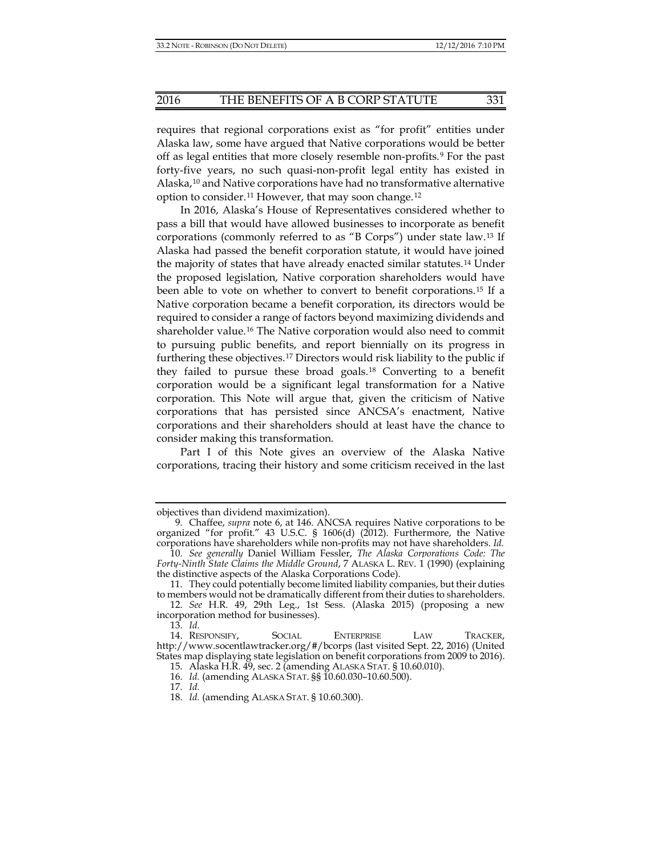requires that regional corporations exist as "for profit" entities under Alaska law, some have argued that Native corporations would be better off as legal entities that more closely resemble non-profits.[9](#page-2-0) For the past forty-five years, no such quasi-non-profit legal entity has existed in Alaska,[10](#page-2-1) and Native corporations have had no transformative alternative option to consider.[11](#page-2-2) However, that may soon change.[12](#page-2-3)

In 2016, Alaska's House of Representatives considered whether to pass a bill that would have allowed businesses to incorporate as benefit corporations (commonly referred to as "B Corps") under state law.[13](#page-2-4) If Alaska had passed the benefit corporation statute, it would have joined the majority of states that have already enacted similar statutes.[14](#page-2-5) Under the proposed legislation, Native corporation shareholders would have been able to vote on whether to convert to benefit corporations.[15](#page-2-6) If a Native corporation became a benefit corporation, its directors would be required to consider a range of factors beyond maximizing dividends and shareholder value.[16](#page-2-7) The Native corporation would also need to commit to pursuing public benefits, and report biennially on its progress in furthering these objectives.[17](#page-2-8) Directors would risk liability to the public if they failed to pursue these broad goals.[18](#page-2-9) Converting to a benefit corporation would be a significant legal transformation for a Native corporation. This Note will argue that, given the criticism of Native corporations that has persisted since ANCSA's enactment, Native corporations and their shareholders should at least have the chance to consider making this transformation.

Part I of this Note gives an overview of the Alaska Native corporations, tracing their history and some criticism received in the last

objectives than dividend maximization).

<span id="page-2-0"></span><sup>9.</sup> Chaffee, *supra* note [6,](#page-1-0) at 146. ANCSA requires Native corporations to be organized "for profit." 43 U.S.C. § 1606(d) (2012). Furthermore, the Native corporations have shareholders while non-profits may not have shareholders. *Id.*

<span id="page-2-1"></span><sup>10.</sup> *See generally* Daniel William Fessler, *The Alaska Corporations Code: The Forty-Ninth State Claims the Middle Ground*, 7 ALASKA L. REV. 1 (1990) (explaining the distinctive aspects of the Alaska Corporations Code).

<span id="page-2-2"></span><sup>11.</sup> They could potentially become limited liability companies, but their duties to members would not be dramatically different from their duties to shareholders.

<span id="page-2-3"></span><sup>12.</sup> *See* H.R. 49, 29th Leg., 1st Sess. (Alaska 2015) (proposing a new incorporation method for businesses).

<sup>13.</sup> *Id.*

<span id="page-2-9"></span><span id="page-2-8"></span><span id="page-2-7"></span><span id="page-2-6"></span><span id="page-2-5"></span><span id="page-2-4"></span><sup>14.</sup> RESPONSIFY, SOCIAL ENTERPRISE LAW TRACKER, http://www.socentlawtracker.org/#/bcorps (last visited Sept. 22, 2016) (United States map displaying state legislation on benefit corporations from 2009 to 2016).

<sup>15.</sup> Alaska H.R. 49, sec. 2 (amending ALASKA STAT. § 10.60.010).

<sup>16.</sup> *Id.* (amending ALASKA STAT. §§ 10.60.030–10.60.500).

<sup>17.</sup> *Id.*

<sup>18.</sup> *Id.* (amending ALASKA STAT. § 10.60.300).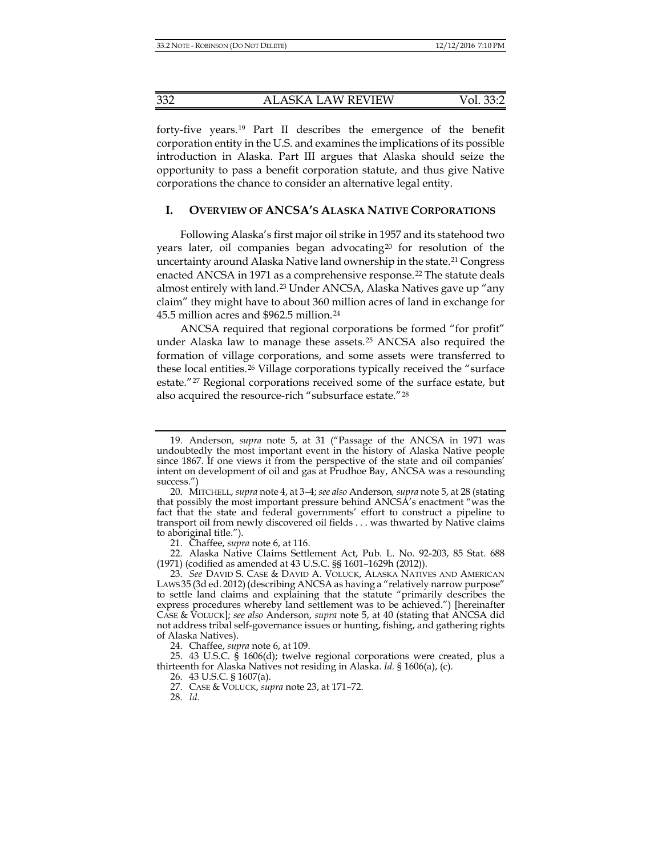forty-five years.[19](#page-3-1) Part II describes the emergence of the benefit corporation entity in the U.S. and examines the implications of its possible introduction in Alaska. Part III argues that Alaska should seize the opportunity to pass a benefit corporation statute, and thus give Native corporations the chance to consider an alternative legal entity.

## **I. OVERVIEW OF ANCSA'S ALASKA NATIVE CORPORATIONS**

Following Alaska's first major oil strike in 1957 and its statehood two years later, oil companies began advocating<sup>[20](#page-3-2)</sup> for resolution of the uncertainty around Alaska Native land ownership in the state.[21](#page-3-3) Congress enacted ANCSA in 1971 as a comprehensive response.<sup>[22](#page-3-4)</sup> The statute deals almost entirely with land.[23](#page-3-5) Under ANCSA, Alaska Natives gave up "any claim" they might have to about 360 million acres of land in exchange for 45.5 million acres and \$962.5 million.[24](#page-3-6)

<span id="page-3-0"></span>ANCSA required that regional corporations be formed "for profit" under Alaska law to manage these assets.<sup>[25](#page-3-7)</sup> ANCSA also required the formation of village corporations, and some assets were transferred to these local entities.[26](#page-3-8) Village corporations typically received the "surface estate."[27](#page-3-9) Regional corporations received some of the surface estate, but also acquired the resource-rich "subsurface estate."[28](#page-3-10)

24. Chaffee, *supra* not[e 6,](#page-1-0) at 109.

<span id="page-3-10"></span><span id="page-3-9"></span><span id="page-3-8"></span><span id="page-3-7"></span><span id="page-3-6"></span>25. 43 U.S.C. § 1606(d); twelve regional corporations were created, plus a thirteenth for Alaska Natives not residing in Alaska. *Id.* § 1606(a), (c).

26. 43 U.S.C. § 1607(a).

28*. Id.*

<span id="page-3-1"></span><sup>19.</sup> Anderson*, supra* note [5,](#page-1-7) at 31 ("Passage of the ANCSA in 1971 was undoubtedly the most important event in the history of Alaska Native people since 1867. If one views it from the perspective of the state and oil companies' intent on development of oil and gas at Prudhoe Bay, ANCSA was a resounding success.")

<span id="page-3-2"></span><sup>20.</sup> MITCHELL, *supra* not[e 4,](#page-1-8) at 3–4; *see also* Anderson*, supra* not[e 5,](#page-1-7) at 28 (stating that possibly the most important pressure behind ANCSA's enactment "was the fact that the state and federal governments' effort to construct a pipeline to transport oil from newly discovered oil fields . . . was thwarted by Native claims to aboriginal title.").

<sup>21.</sup> Chaffee, *supra* not[e 6,](#page-1-0) at 116.

<span id="page-3-4"></span><span id="page-3-3"></span><sup>22.</sup> Alaska Native Claims Settlement Act, Pub. L. No. 92-203, 85 Stat. 688 (1971) (codified as amended at 43 U.S.C. §§ 1601–1629h (2012)).

<span id="page-3-5"></span><sup>23.</sup> *See* DAVID S. CASE & DAVID A. VOLUCK, ALASKA NATIVES AND AMERICAN LAWS 35 (3d ed. 2012) (describing ANCSA as having a "relatively narrow purpose" to settle land claims and explaining that the statute "primarily describes the express procedures whereby land settlement was to be achieved.") [hereinafter CASE & VOLUCK]; *see also* Anderson, *supra* note [5,](#page-1-7) at 40 (stating that ANCSA did not address tribal self-governance issues or hunting, fishing, and gathering rights of Alaska Natives).

<sup>27.</sup> CASE & VOLUCK, *supra* note [23,](#page-3-0) at 171–72.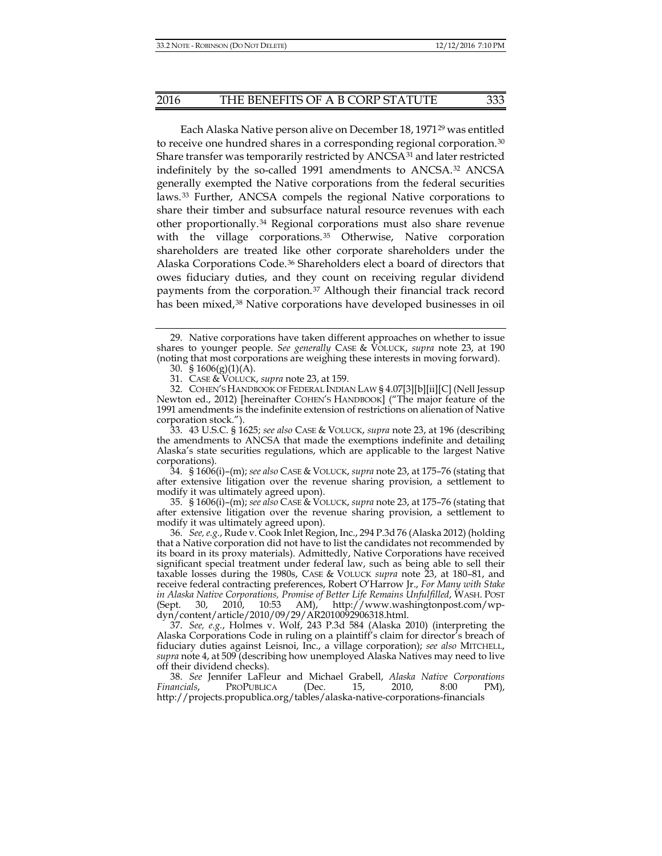<span id="page-4-11"></span>Each Alaska Native person alive on December 18, 1971[29](#page-4-0) was entitled to receive one hundred shares in a corresponding regional corporation.[30](#page-4-1) Share transfer was temporarily restricted by ANCSA<sup>[31](#page-4-2)</sup> and later restricted indefinitely by the so-called 1991 amendments to ANCSA.<sup>[32](#page-4-3)</sup> ANCSA generally exempted the Native corporations from the federal securities laws.[33](#page-4-4) Further, ANCSA compels the regional Native corporations to share their timber and subsurface natural resource revenues with each other proportionally.[34](#page-4-5) Regional corporations must also share revenue with the village corporations.<sup>[35](#page-4-6)</sup> Otherwise, Native corporation shareholders are treated like other corporate shareholders under the Alaska Corporations Code.[36](#page-4-7) Shareholders elect a board of directors that owes fiduciary duties, and they count on receiving regular dividend payments from the corporation.[37](#page-4-8) Although their financial track record has been mixed,<sup>[38](#page-4-9)</sup> Native corporations have developed businesses in oil

<span id="page-4-5"></span>34. § 1606(i)–(m); *see also* CASE & VOLUCK, *supra* not[e 23,](#page-3-0) at 175–76 (stating that after extensive litigation over the revenue sharing provision, a settlement to modify it was ultimately agreed upon).

<span id="page-4-6"></span>35. § 1606(i)–(m); *see also* CASE & VOLUCK, *supra* not[e 23,](#page-3-0) at 175–76 (stating that after extensive litigation over the revenue sharing provision, a settlement to modify it was ultimately agreed upon).

<span id="page-4-7"></span>36. *See, e.g.*, Rude v. Cook Inlet Region, Inc., 294 P.3d 76 (Alaska 2012) (holding that a Native corporation did not have to list the candidates not recommended by its board in its proxy materials). Admittedly, Native Corporations have received significant special treatment under federal law, such as being able to sell their taxable losses during the 1980s, CASE & VOLUCK *supra* note [23,](#page-3-0) at 180–81, and receive federal contracting preferences, Robert O'Harrow Jr., *For Many with Stake in Alaska Native Corporations, Promise of Better Life Remains Unfulfilled*, WASH. POST (Sept. 30, 2010, 10:53 AM), http://www.washingtonpost.com/wpdyn/content/article/2010/09/29/AR2010092906318.html.

<span id="page-4-8"></span>37. *See, e.g.*, Holmes v. Wolf, 243 P.3d 584 (Alaska 2010) (interpreting the Alaska Corporations Code in ruling on a plaintiff's claim for director's breach of fiduciary duties against Leisnoi, Inc., a village corporation); *see also* MITCHELL, *supra* note [4,](#page-1-8) at 509 (describing how unemployed Alaska Natives may need to live off their dividend checks).

<span id="page-4-9"></span>38. *See* Jennifer LaFleur and Michael Grabell, *Alaska Native Corporations Financials*, PROPUBLICA (Dec. 15, 2010, 8:00 PM), http://projects.propublica.org/tables/alaska-native-corporations-financials

<span id="page-4-12"></span><span id="page-4-10"></span><span id="page-4-0"></span><sup>29.</sup> Native corporations have taken different approaches on whether to issue shares to younger people. *See generally* CASE & VOLUCK, *supra* note [23,](#page-3-0) at 190 (noting that most corporations are weighing these interests in moving forward).

<sup>30. §</sup>  $1606(g)(1)(A)$ .

<sup>31.</sup> CASE & VOLUCK, *supra* note [23,](#page-3-0) at 159.

<span id="page-4-3"></span><span id="page-4-2"></span><span id="page-4-1"></span><sup>32.</sup> COHEN'S HANDBOOK OF FEDERAL INDIAN LAW § 4.07[3][b][ii][C] (Nell Jessup Newton ed., 2012) [hereinafter COHEN'S HANDBOOK] ("The major feature of the 1991 amendments is the indefinite extension of restrictions on alienation of Native corporation stock.").

<span id="page-4-4"></span><sup>33.</sup> 43 U.S.C. § 1625; *see also* CASE & VOLUCK, *supra* note [23,](#page-3-0) at 196 (describing the amendments to ANCSA that made the exemptions indefinite and detailing Alaska's state securities regulations, which are applicable to the largest Native corporations).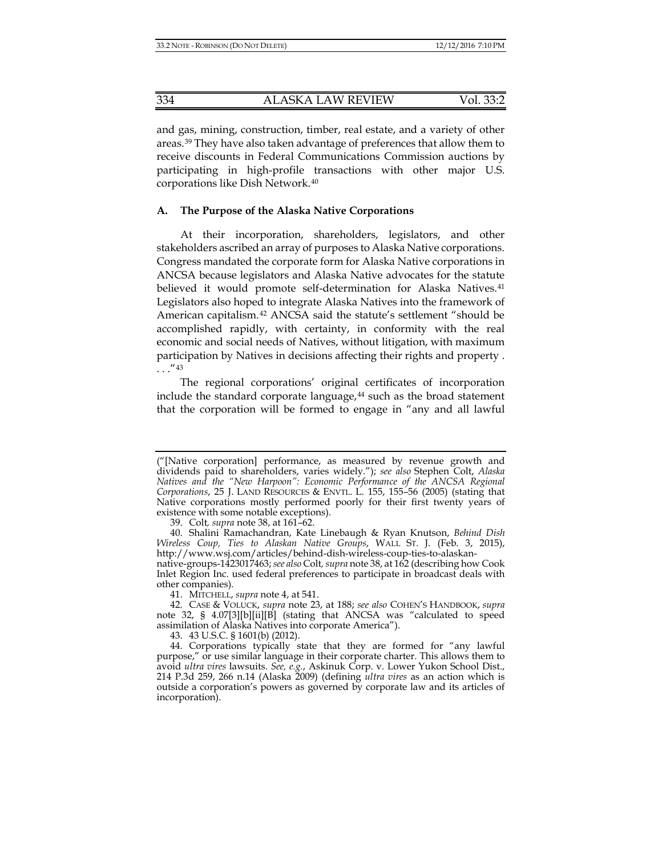and gas, mining, construction, timber, real estate, and a variety of other areas.[39](#page-5-0) They have also taken advantage of preferences that allow them to receive discounts in Federal Communications Commission auctions by participating in high-profile transactions with other major U.S. corporations like Dish Network.[40](#page-5-1)

#### **A. The Purpose of the Alaska Native Corporations**

At their incorporation, shareholders, legislators, and other stakeholders ascribed an array of purposes to Alaska Native corporations. Congress mandated the corporate form for Alaska Native corporations in ANCSA because legislators and Alaska Native advocates for the statute believed it would promote self-determination for Alaska Natives.<sup>[41](#page-5-2)</sup> Legislators also hoped to integrate Alaska Natives into the framework of American capitalism.[42](#page-5-3) ANCSA said the statute's settlement "should be accomplished rapidly, with certainty, in conformity with the real economic and social needs of Natives, without litigation, with maximum participation by Natives in decisions affecting their rights and property .  $\ldots$ ."[43](#page-5-4)

<span id="page-5-6"></span>The regional corporations' original certificates of incorporation include the standard corporate language, $44$  such as the broad statement that the corporation will be formed to engage in "any and all lawful

<sup>(&</sup>quot;[Native corporation] performance, as measured by revenue growth and dividends paid to shareholders, varies widely."); *see also* Stephen Colt, *Alaska Natives and the "New Harpoon": Economic Performance of the ANCSA Regional Corporations*, 25 J. LAND RESOURCES & ENVTL. L. 155, 155–56 (2005) (stating that Native corporations mostly performed poorly for their first twenty years of existence with some notable exceptions).

<sup>39.</sup> Colt*, supra* note [38,](#page-4-10) at 161–62.

<span id="page-5-1"></span><span id="page-5-0"></span><sup>40.</sup> Shalini Ramachandran, Kate Linebaugh & Ryan Knutson, *Behind Dish Wireless Coup, Ties to Alaskan Native Groups*, WALL ST. J. (Feb. 3, 2015), http://www.wsj.com/articles/behind-dish-wireless-coup-ties-to-alaskan-

native-groups-1423017463; *see also* Colt*, supra* note [38,](#page-4-10) at 162 (describing how Cook Inlet Region Inc. used federal preferences to participate in broadcast deals with other companies).

<sup>41.</sup> MITCHELL, *supra* not[e 4,](#page-1-8) at 541.

<span id="page-5-3"></span><span id="page-5-2"></span><sup>42.</sup> CASE & VOLUCK, *supra* note [23,](#page-3-0) at 188; *see also* COHEN'S HANDBOOK, *supra*  note [32,](#page-4-11) § 4.07[3][b][ii][B] (stating that ANCSA was "calculated to speed assimilation of Alaska Natives into corporate America").

<sup>43.</sup> 43 U.S.C. § 1601(b) (2012).

<span id="page-5-5"></span><span id="page-5-4"></span><sup>44.</sup> Corporations typically state that they are formed for "any lawful purpose," or use similar language in their corporate charter. This allows them to avoid *ultra vires* lawsuits. *See, e.g.*, Askinuk Corp. v. Lower Yukon School Dist., 214 P.3d 259, 266 n.14 (Alaska 2009) (defining *ultra vires* as an action which is outside a corporation's powers as governed by corporate law and its articles of incorporation).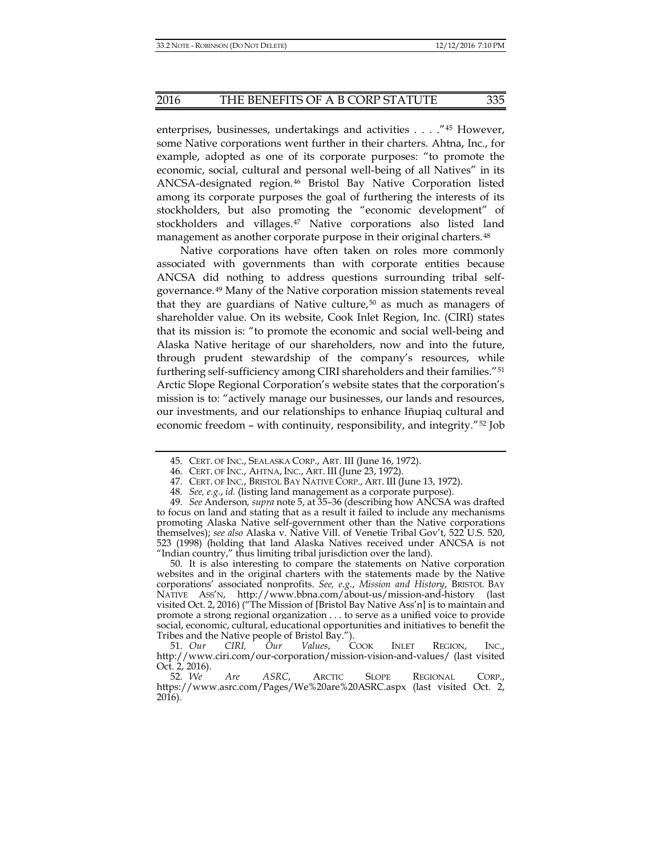enterprises, businesses, undertakings and activities . . . ."[45](#page-6-0) However, some Native corporations went further in their charters. Ahtna, Inc., for example, adopted as one of its corporate purposes: "to promote the economic, social, cultural and personal well-being of all Natives" in its ANCSA-designated region.[46](#page-6-1) Bristol Bay Native Corporation listed among its corporate purposes the goal of furthering the interests of its stockholders, but also promoting the "economic development" of stockholders and villages.[47](#page-6-2) Native corporations also listed land management as another corporate purpose in their original charters.<sup>[48](#page-6-3)</sup>

Native corporations have often taken on roles more commonly associated with governments than with corporate entities because ANCSA did nothing to address questions surrounding tribal selfgovernance.[49](#page-6-4) Many of the Native corporation mission statements reveal that they are guardians of Native culture, $50$  as much as managers of shareholder value. On its website, Cook Inlet Region, Inc. (CIRI) states that its mission is: "to promote the economic and social well-being and Alaska Native heritage of our shareholders, now and into the future, through prudent stewardship of the company's resources, while furthering self-sufficiency among CIRI shareholders and their families."[51](#page-6-6) Arctic Slope Regional Corporation's website states that the corporation's mission is to: "actively manage our businesses, our lands and resources, our investments, and our relationships to enhance Iñupiaq cultural and economic freedom – with continuity, responsibility, and integrity."[52](#page-6-7) Job

<span id="page-6-5"></span>50. It is also interesting to compare the statements on Native corporation websites and in the original charters with the statements made by the Native corporations' associated nonprofits. *See, e.g.*, *Mission and History*, BRISTOL BAY NATIVE ASS'N, http://www.bbna.com/about-us/mission-and-history (last visited Oct. 2, 2016) ("The Mission of [Bristol Bay Native Ass'n] is to maintain and promote a strong regional organization . . . to serve as a unified voice to provide social, economic, cultural, educational opportunities and initiatives to benefit the Tribes and the Native people of Bristol Bay.").

<sup>45.</sup> CERT. OF INC., SEALASKA CORP., ART. III (June 16, 1972).

<sup>46.</sup> CERT. OF INC., AHTNA, INC., ART. III (June 23, 1972).

<sup>47.</sup> CERT. OF INC., BRISTOL BAY NATIVE CORP., ART. III (June 13, 1972).

<sup>48.</sup> *See, e.g.*, *id.* (listing land management as a corporate purpose).

<span id="page-6-4"></span><span id="page-6-3"></span><span id="page-6-2"></span><span id="page-6-1"></span><span id="page-6-0"></span><sup>49.</sup> *See* Anderson*, supra* not[e 5,](#page-1-7) at 35–36 (describing how ANCSA was drafted to focus on land and stating that as a result it failed to include any mechanisms promoting Alaska Native self-government other than the Native corporations themselves); *see also* Alaska v. Native Vill. of Venetie Tribal Gov't, 522 U.S. 520, 523 (1998) (holding that land Alaska Natives received under ANCSA is not "Indian country," thus limiting tribal jurisdiction over the land).

<span id="page-6-6"></span><sup>51.</sup> *Our CIRI, Our Values*, COOK INLET REGION, INC., http://www.ciri.com/our-corporation/mission-vision-and-values/ (last visited Oct. 2, 2016).<br>52. We

<span id="page-6-7"></span>Are ASRC, ARCTIC SLOPE REGIONAL CORP., https://www.asrc.com/Pages/We%20are%20ASRC.aspx (last visited Oct. 2, 2016).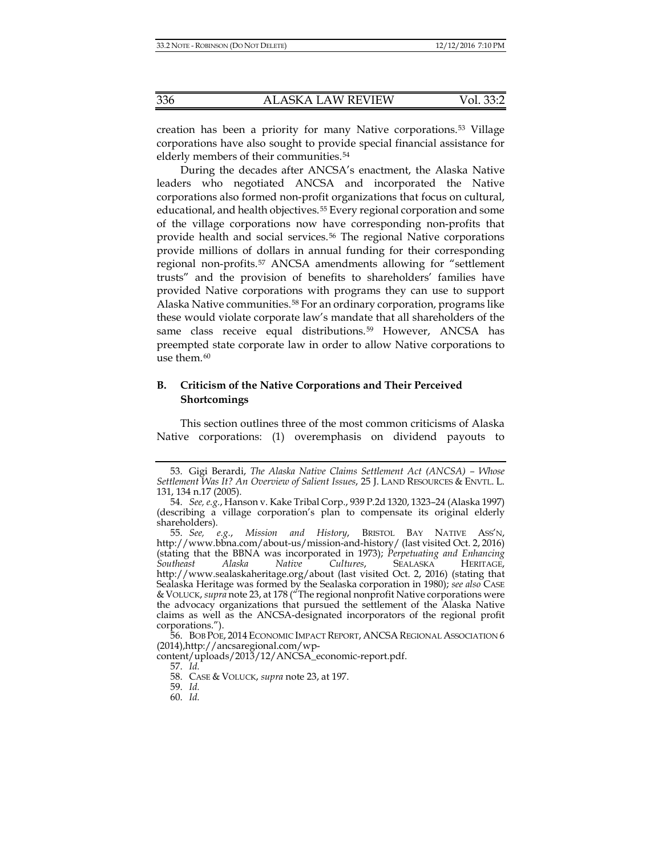creation has been a priority for many Native corporations.[53](#page-7-0) Village corporations have also sought to provide special financial assistance for elderly members of their communities.<sup>[54](#page-7-1)</sup>

During the decades after ANCSA's enactment, the Alaska Native leaders who negotiated ANCSA and incorporated the Native corporations also formed non-profit organizations that focus on cultural, educational, and health objectives.[55](#page-7-2) Every regional corporation and some of the village corporations now have corresponding non-profits that provide health and social services.[56](#page-7-3) The regional Native corporations provide millions of dollars in annual funding for their corresponding regional non-profits.[57](#page-7-4) ANCSA amendments allowing for "settlement trusts" and the provision of benefits to shareholders' families have provided Native corporations with programs they can use to support Alaska Native communities.[58](#page-7-5) For an ordinary corporation, programs like these would violate corporate law's mandate that all shareholders of the same class receive equal distributions.[59](#page-7-6) However, ANCSA has preempted state corporate law in order to allow Native corporations to use them.<sup>[60](#page-7-7)</sup>

### **B. Criticism of the Native Corporations and Their Perceived Shortcomings**

This section outlines three of the most common criticisms of Alaska Native corporations: (1) overemphasis on dividend payouts to

<span id="page-7-0"></span><sup>53.</sup> Gigi Berardi, *The Alaska Native Claims Settlement Act (ANCSA) – Whose Settlement Was It? An Overview of Salient Issues*, 25 J. LAND RESOURCES & ENVTL. L. 131, 134 n.17 (2005).

<span id="page-7-1"></span><sup>54.</sup> *See, e.g.*, Hanson v. Kake Tribal Corp., 939 P.2d 1320, 1323–24 (Alaska 1997) (describing a village corporation's plan to compensate its original elderly shareholders).

<span id="page-7-2"></span><sup>55.</sup> *See, e.g.*, *Mission and History*, BRISTOL BAY NATIVE ASS'N, http://www.bbna.com/about-us/mission-and-history/ (last visited Oct. 2, 2016) (stating that the BBNA was incorporated in 1973); *Perpetuating and Enhancing Southeast Alaska Native Cultures*, SEALASKA HERITAGE, http://www.sealaskaheritage.org/about (last visited Oct. 2, 2016) (stating that Sealaska Heritage was formed by the Sealaska corporation in 1980); *see also* CASE &VOLUCK, *supra* not[e 23,](#page-3-0) at 178 ("The regional nonprofit Native corporations were the advocacy organizations that pursued the settlement of the Alaska Native claims as well as the ANCSA-designated incorporators of the regional profit corporations.").

<span id="page-7-3"></span><sup>56.</sup> BOB POE, 2014 ECONOMIC IMPACT REPORT, ANCSA REGIONAL ASSOCIATION 6 (2014),http://ancsaregional.com/wp-

<span id="page-7-7"></span><span id="page-7-6"></span><span id="page-7-5"></span><span id="page-7-4"></span>content/uploads/2013/12/ANCSA\_economic-report.pdf.

<sup>57.</sup> *Id.*

<sup>58.</sup> CASE & VOLUCK, *supra* note [23,](#page-3-0) at 197.

<sup>59.</sup> *Id.*

<sup>60.</sup> *Id.*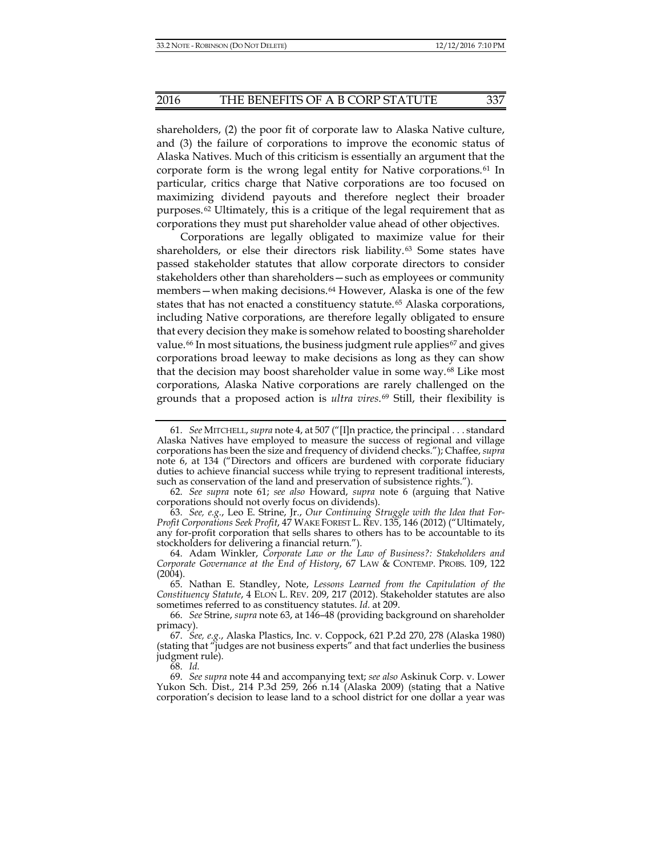<span id="page-8-11"></span><span id="page-8-1"></span><span id="page-8-0"></span>

shareholders, (2) the poor fit of corporate law to Alaska Native culture, and (3) the failure of corporations to improve the economic status of Alaska Natives. Much of this criticism is essentially an argument that the corporate form is the wrong legal entity for Native corporations.[61](#page-8-2) In particular, critics charge that Native corporations are too focused on maximizing dividend payouts and therefore neglect their broader purposes.[62](#page-8-3) Ultimately, this is a critique of the legal requirement that as corporations they must put shareholder value ahead of other objectives.

Corporations are legally obligated to maximize value for their shareholders, or else their directors risk liability.[63](#page-8-4) Some states have passed stakeholder statutes that allow corporate directors to consider stakeholders other than shareholders—such as employees or community members—when making decisions.<sup>[64](#page-8-5)</sup> However, Alaska is one of the few states that has not enacted a constituency statute.<sup>[65](#page-8-6)</sup> Alaska corporations, including Native corporations, are therefore legally obligated to ensure that every decision they make is somehow related to boosting shareholder value.<sup>[66](#page-8-7)</sup> In most situations, the business judgment rule applies<sup>[67](#page-8-8)</sup> and gives corporations broad leeway to make decisions as long as they can show that the decision may boost shareholder value in some way.[68](#page-8-9) Like most corporations, Alaska Native corporations are rarely challenged on the grounds that a proposed action is *ultra vires*.[69](#page-8-10) Still, their flexibility is

<span id="page-8-4"></span>63. *See, e.g.*, Leo E. Strine, Jr., *Our Continuing Struggle with the Idea that For-Profit Corporations Seek Profit*, 47 WAKE FOREST L. REV. 135, 146 (2012) ("Ultimately, any for-profit corporation that sells shares to others has to be accountable to its stockholders for delivering a financial return.").

68. *Id.*

<span id="page-8-2"></span><sup>61.</sup> *See* MITCHELL, *supra* not[e 4,](#page-1-8) at 507 ("[I]n practice, the principal . . . standard Alaska Natives have employed to measure the success of regional and village corporations has been the size and frequency of dividend checks."); Chaffee, *supra* note [6,](#page-1-0) at 134 ("Directors and officers are burdened with corporate fiduciary duties to achieve financial success while trying to represent traditional interests, such as conservation of the land and preservation of subsistence rights.").

<span id="page-8-3"></span><sup>62.</sup> *See supra* note [61;](#page-8-0) *see also* Howard, *supra* note [6](#page-1-0) (arguing that Native corporations should not overly focus on dividends).

<span id="page-8-5"></span><sup>64.</sup> Adam Winkler, *Corporate Law or the Law of Business?: Stakeholders and Corporate Governance at the End of History*, 67 LAW & CONTEMP. PROBS. 109, 122  $(2004)$ .

<span id="page-8-6"></span><sup>65.</sup> Nathan E. Standley, Note, *Lessons Learned from the Capitulation of the Constituency Statute*, 4 ELON L. REV. 209, 217 (2012). Stakeholder statutes are also sometimes referred to as constituency statutes. *Id.* at 209.

<span id="page-8-7"></span><sup>66.</sup> *See* Strine, *supra* not[e 63,](#page-8-1) at 146–48 (providing background on shareholder primacy).

<span id="page-8-8"></span><sup>67.</sup> *See, e.g.*, Alaska Plastics, Inc. v. Coppock, 621 P.2d 270, 278 (Alaska 1980) (stating that "judges are not business experts" and that fact underlies the business judgment rule).

<span id="page-8-10"></span><span id="page-8-9"></span><sup>69.</sup> *See supra* note [44](#page-5-6) and accompanying text; *see also* Askinuk Corp. v. Lower Yukon Sch. Dist., 214 P.3d 259, 266 n.14 (Alaska 2009) (stating that a Native corporation's decision to lease land to a school district for one dollar a year was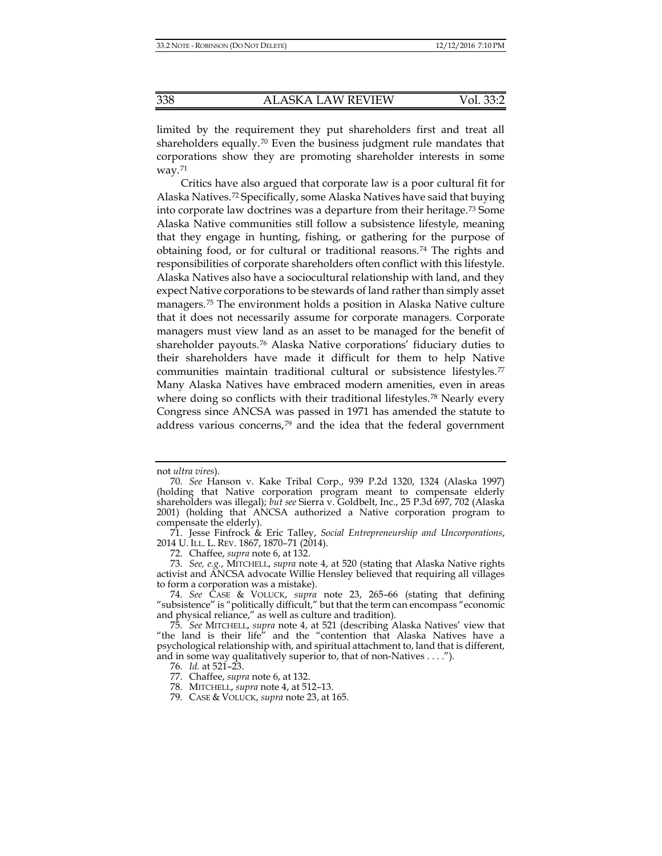limited by the requirement they put shareholders first and treat all shareholders equally.[70](#page-9-0) Even the business judgment rule mandates that corporations show they are promoting shareholder interests in some way. $71$ 

<span id="page-9-10"></span>Critics have also argued that corporate law is a poor cultural fit for Alaska Natives.[72](#page-9-2) Specifically, some Alaska Natives have said that buying into corporate law doctrines was a departure from their heritage.[73](#page-9-3) Some Alaska Native communities still follow a subsistence lifestyle, meaning that they engage in hunting, fishing, or gathering for the purpose of obtaining food, or for cultural or traditional reasons.[74](#page-9-4) The rights and responsibilities of corporate shareholders often conflict with this lifestyle. Alaska Natives also have a sociocultural relationship with land, and they expect Native corporations to be stewards of land rather than simply asset managers.[75](#page-9-5) The environment holds a position in Alaska Native culture that it does not necessarily assume for corporate managers. Corporate managers must view land as an asset to be managed for the benefit of shareholder payouts.[76](#page-9-6) Alaska Native corporations' fiduciary duties to their shareholders have made it difficult for them to help Native communities maintain traditional cultural or subsistence lifestyles.[77](#page-9-7) Many Alaska Natives have embraced modern amenities, even in areas where doing so conflicts with their traditional lifestyles.<sup>[78](#page-9-8)</sup> Nearly every Congress since ANCSA was passed in 1971 has amended the statute to address various concerns,<sup>[79](#page-9-9)</sup> and the idea that the federal government

not *ultra vires*).

<span id="page-9-0"></span><sup>70</sup>*. See* Hanson v. Kake Tribal Corp., 939 P.2d 1320, 1324 (Alaska 1997) (holding that Native corporation program meant to compensate elderly shareholders was illegal); *but see* Sierra v. Goldbelt, Inc., 25 P.3d 697, 702 (Alaska 2001) (holding that ANCSA authorized a Native corporation program to compensate the elderly).

<span id="page-9-1"></span><sup>71.</sup> Jesse Finfrock & Eric Talley, *Social Entrepreneurship and Uncorporations*, 2014 U. ILL. L. REV. 1867, 1870–71 (2014).

<sup>72.</sup> Chaffee, *supra* not[e 6,](#page-1-0) at 132.

<span id="page-9-3"></span><span id="page-9-2"></span><sup>73.</sup> *See, e.g.*, MITCHELL, *supra* note [4,](#page-1-8) at 520 (stating that Alaska Native rights activist and ANCSA advocate Willie Hensley believed that requiring all villages to form a corporation was a mistake).

<span id="page-9-4"></span><sup>74.</sup> *See* CASE & VOLUCK, *supra* note [23,](#page-3-0) 265–66 (stating that defining "subsistence" is "politically difficult," but that the term can encompass "economic and physical reliance," as well as culture and tradition).

<span id="page-9-8"></span><span id="page-9-7"></span><span id="page-9-6"></span><span id="page-9-5"></span><sup>75.</sup> *See* MITCHELL, *supra* note [4,](#page-1-8) at 521 (describing Alaska Natives' view that "the land is their life" and the "contention that Alaska Natives have a psychological relationship with, and spiritual attachment to, land that is different, and in some way qualitatively superior to, that of non-Natives . . . .").

<sup>76.</sup> *Id.* at 521–23.

<sup>77.</sup> Chaffee, *supra* not[e 6,](#page-1-0) at 132.

<sup>78.</sup> MITCHELL, *supra* not[e 4,](#page-1-8) at 512–13.

<span id="page-9-9"></span><sup>79.</sup> CASE & VOLUCK, *supra* note [23,](#page-3-0) at 165.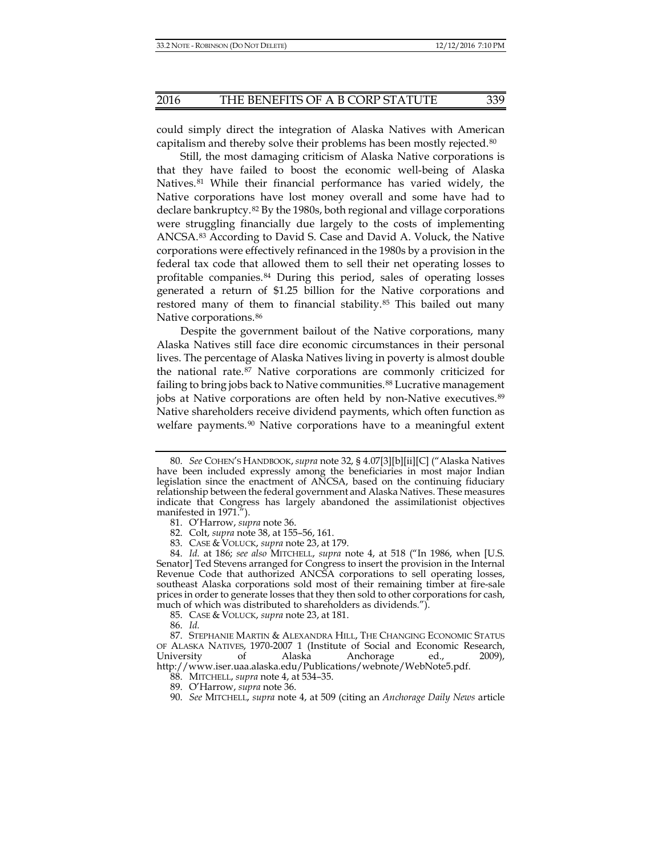could simply direct the integration of Alaska Natives with American capitalism and thereby solve their problems has been mostly rejected.[80](#page-10-0)

Still, the most damaging criticism of Alaska Native corporations is that they have failed to boost the economic well-being of Alaska Natives.<sup>[81](#page-10-1)</sup> While their financial performance has varied widely, the Native corporations have lost money overall and some have had to declare bankruptcy.[82](#page-10-2) By the 1980s, both regional and village corporations were struggling financially due largely to the costs of implementing ANCSA.[83](#page-10-3) According to David S. Case and David A. Voluck, the Native corporations were effectively refinanced in the 1980s by a provision in the federal tax code that allowed them to sell their net operating losses to profitable companies.[84](#page-10-4) During this period, sales of operating losses generated a return of \$1.25 billion for the Native corporations and restored many of them to financial stability.<sup>[85](#page-10-5)</sup> This bailed out many Native corporations.[86](#page-10-6)

Despite the government bailout of the Native corporations, many Alaska Natives still face dire economic circumstances in their personal lives. The percentage of Alaska Natives living in poverty is almost double the national rate.[87](#page-10-7) Native corporations are commonly criticized for failing to bring jobs back to Native communities.<sup>[88](#page-10-8)</sup> Lucrative management jobs at Native corporations are often held by non-Native executives.<sup>[89](#page-10-9)</sup> Native shareholders receive dividend payments, which often function as welfare payments.<sup>[90](#page-10-10)</sup> Native corporations have to a meaningful extent

<span id="page-10-0"></span><sup>80.</sup> *See* COHEN'S HANDBOOK, *supra* note [32,](#page-4-11) § 4.07[3][b][ii][C] ("Alaska Natives have been included expressly among the beneficiaries in most major Indian legislation since the enactment of ANCSA, based on the continuing fiduciary relationship between the federal government and Alaska Natives. These measures indicate that Congress has largely abandoned the assimilationist objectives manifested in 1971.").

<sup>81.</sup> O'Harrow, *supra* note [36.](#page-4-12)

<sup>82.</sup> Colt, *supra* note [38,](#page-4-10) at 155–56, 161.

<sup>83.</sup> CASE & VOLUCK, *supra* note [23,](#page-3-0) at 179.

<span id="page-10-4"></span><span id="page-10-3"></span><span id="page-10-2"></span><span id="page-10-1"></span><sup>84.</sup> *Id.* at 186; *see also* MITCHELL, *supra* note [4,](#page-1-8) at 518 ("In 1986, when [U.S. Senator] Ted Stevens arranged for Congress to insert the provision in the Internal Revenue Code that authorized ANCSA corporations to sell operating losses, southeast Alaska corporations sold most of their remaining timber at fire-sale prices in order to generate losses that they then sold to other corporations for cash, much of which was distributed to shareholders as dividends.").

<sup>85.</sup> CASE & VOLUCK, *supra* note [23,](#page-3-0) at 181.

<sup>86.</sup> *Id.*

<span id="page-10-10"></span><span id="page-10-9"></span><span id="page-10-8"></span><span id="page-10-7"></span><span id="page-10-6"></span><span id="page-10-5"></span><sup>87.</sup> STEPHANIE MARTIN & ALEXANDRA HILL, THE CHANGING ECONOMIC STATUS OF ALASKA NATIVES, 1970-2007 1 (Institute of Social and Economic Research, University of Alaska Anchorage ed., 2009), http://www.iser.uaa.alaska.edu/Publications/webnote/WebNote5.pdf.

<sup>88.</sup> MITCHELL, *supra* not[e 4,](#page-1-8) at 534–35.

<sup>89.</sup> O'Harrow, *supra* note [36.](#page-4-12)

<sup>90.</sup> *See* MITCHELL, *supra* note [4,](#page-1-8) at 509 (citing an *Anchorage Daily News* article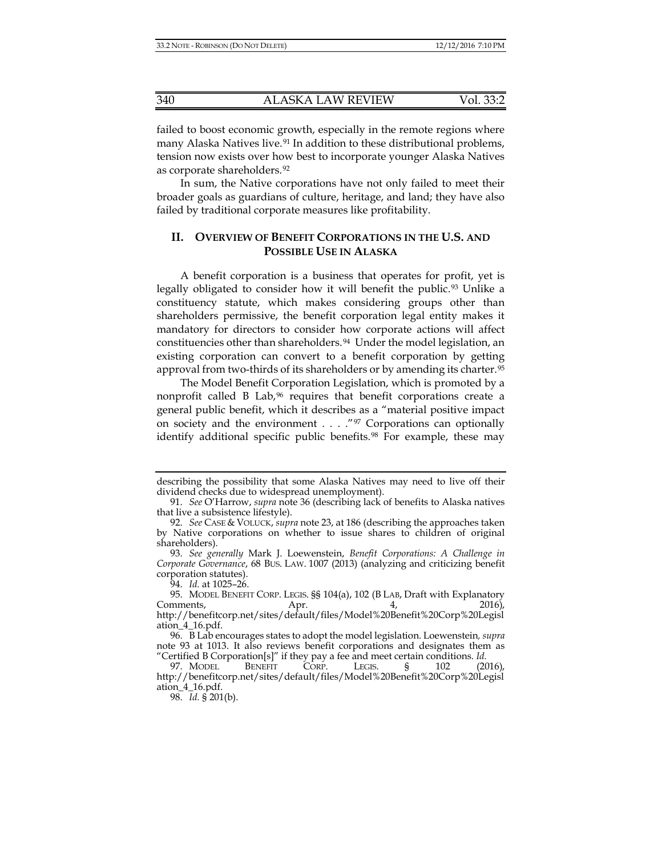failed to boost economic growth, especially in the remote regions where many Alaska Natives live.<sup>[91](#page-11-1)</sup> In addition to these distributional problems, tension now exists over how best to incorporate younger Alaska Natives as corporate shareholders.[92](#page-11-2)

In sum, the Native corporations have not only failed to meet their broader goals as guardians of culture, heritage, and land; they have also failed by traditional corporate measures like profitability.

## <span id="page-11-0"></span>**II. OVERVIEW OF BENEFIT CORPORATIONS IN THE U.S. AND POSSIBLE USE IN ALASKA**

A benefit corporation is a business that operates for profit, yet is legally obligated to consider how it will benefit the public.<sup>[93](#page-11-3)</sup> Unlike a constituency statute, which makes considering groups other than shareholders permissive, the benefit corporation legal entity makes it mandatory for directors to consider how corporate actions will affect constituencies other than shareholders.<sup>94</sup> Under the model legislation, an existing corporation can convert to a benefit corporation by getting approval from two-thirds of its shareholders or by amending its charter.[95](#page-11-5)

The Model Benefit Corporation Legislation, which is promoted by a nonprofit called B Lab,<sup>[96](#page-11-6)</sup> requires that benefit corporations create a general public benefit, which it describes as a "material positive impact on society and the environment . . . ."[97](#page-11-7) Corporations can optionally identify additional specific public benefits.<sup>[98](#page-11-8)</sup> For example, these may

describing the possibility that some Alaska Natives may need to live off their dividend checks due to widespread unemployment).

<span id="page-11-1"></span><sup>91.</sup> *See* O'Harrow, *supra* not[e 36](#page-4-12) (describing lack of benefits to Alaska natives that live a subsistence lifestyle).

<span id="page-11-2"></span><sup>92.</sup> *See* CASE & VOLUCK, *supra* not[e 23,](#page-3-0) at 186 (describing the approaches taken by Native corporations on whether to issue shares to children of original shareholders).

<span id="page-11-3"></span><sup>93.</sup> *See generally* Mark J. Loewenstein, *Benefit Corporations: A Challenge in Corporate Governance*, 68 BUS. LAW. 1007 (2013) (analyzing and criticizing benefit corporation statutes).

<sup>94.</sup> *Id.* at 1025–26.

<span id="page-11-5"></span><span id="page-11-4"></span><sup>95.</sup> MODEL BENEFIT CORP. LEGIS. §§ 104(a), 102 (B LAB, Draft with Explanatory Comments, Apr. 4, 2016), http://benefitcorp.net/sites/default/files/Model%20Benefit%20Corp%20Legisl ation\_4\_16.pdf.

<span id="page-11-6"></span><sup>96.</sup> B Lab encourages states to adopt the model legislation. Loewenstein*, supra* note [93](#page-11-0) at 1013. It also reviews benefit corporations and designates them as "Certified B Corporation[s]" if they pay a fee and meet certain conditions. *Id.*

<span id="page-11-8"></span><span id="page-11-7"></span><sup>97.</sup> MODEL BENEFIT CORP. LEGIS. § 102 (2016), http://benefitcorp.net/sites/default/files/Model%20Benefit%20Corp%20Legisl ation\_4\_16.pdf.

<sup>98.</sup> *Id.* § 201(b).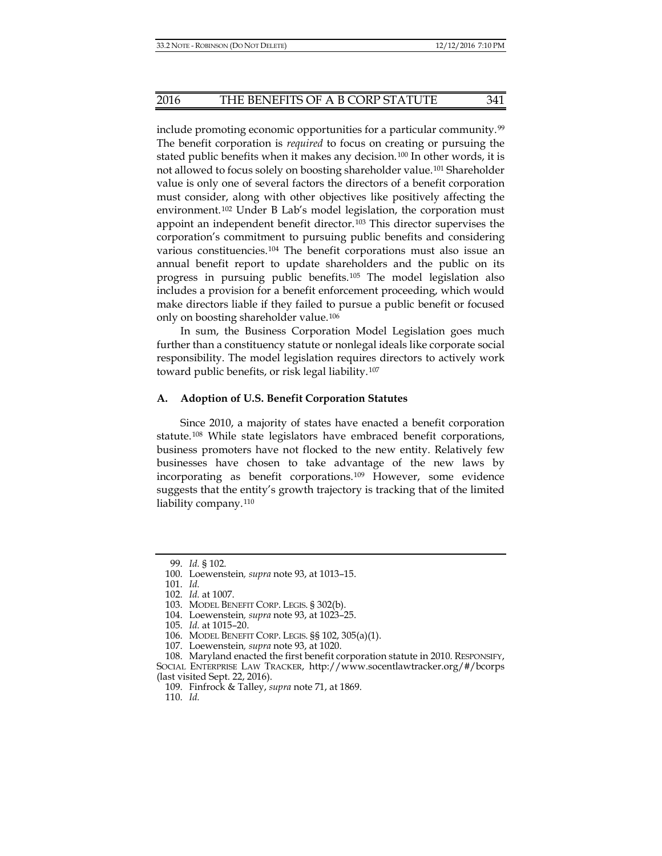include promoting economic opportunities for a particular community.[99](#page-12-0) The benefit corporation is *required* to focus on creating or pursuing the stated public benefits when it makes any decision.<sup>[100](#page-12-1)</sup> In other words, it is not allowed to focus solely on boosting shareholder value.[101](#page-12-2) Shareholder value is only one of several factors the directors of a benefit corporation must consider, along with other objectives like positively affecting the environment.[102](#page-12-3) Under B Lab's model legislation, the corporation must appoint an independent benefit director.[103](#page-12-4) This director supervises the corporation's commitment to pursuing public benefits and considering various constituencies.[104](#page-12-5) The benefit corporations must also issue an annual benefit report to update shareholders and the public on its progress in pursuing public benefits.[105](#page-12-6) The model legislation also includes a provision for a benefit enforcement proceeding, which would make directors liable if they failed to pursue a public benefit or focused only on boosting shareholder value.[106](#page-12-7)

In sum, the Business Corporation Model Legislation goes much further than a constituency statute or nonlegal ideals like corporate social responsibility. The model legislation requires directors to actively work toward public benefits, or risk legal liability.[107](#page-12-8)

#### **A. Adoption of U.S. Benefit Corporation Statutes**

Since 2010, a majority of states have enacted a benefit corporation statute.[108](#page-12-9) While state legislators have embraced benefit corporations, business promoters have not flocked to the new entity. Relatively few businesses have chosen to take advantage of the new laws by incorporating as benefit corporations.[109](#page-12-10) However, some evidence suggests that the entity's growth trajectory is tracking that of the limited liability company.<sup>[110](#page-12-11)</sup>

<sup>99.</sup> *Id.* § 102.

<span id="page-12-0"></span><sup>100.</sup> Loewenstein*, supra* not[e 93,](#page-11-0) at 1013–15.

<span id="page-12-3"></span><span id="page-12-2"></span><span id="page-12-1"></span><sup>101.</sup> *Id.*

<sup>102.</sup> *Id.* at 1007.

<sup>103.</sup> MODEL BENEFIT CORP. LEGIS. § 302(b).

<sup>104.</sup> Loewenstein*, supra* not[e 93,](#page-11-0) at 1023–25.

<sup>105.</sup> *Id.* at 1015–20.

<sup>106.</sup> MODEL BENEFIT CORP. LEGIS. §§ 102, 305(a)(1).

<sup>107.</sup> Loewenstein*, supra* not[e 93,](#page-11-0) at 1020.

<span id="page-12-11"></span><span id="page-12-10"></span><span id="page-12-9"></span><span id="page-12-8"></span><span id="page-12-7"></span><span id="page-12-6"></span><span id="page-12-5"></span><span id="page-12-4"></span><sup>108.</sup> Maryland enacted the first benefit corporation statute in 2010. RESPONSIFY, SOCIAL ENTERPRISE LAW TRACKER, http://www.socentlawtracker.org/#/bcorps (last visited Sept. 22, 2016).

<sup>109.</sup> Finfrock & Talley, *supra* not[e 71,](#page-9-10) at 1869.

<sup>110.</sup> *Id.*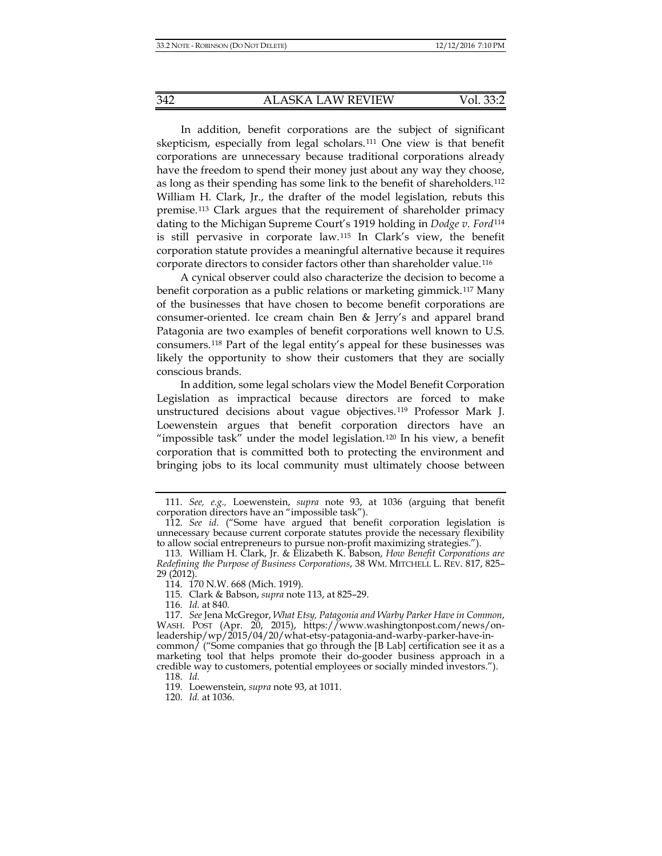In addition, benefit corporations are the subject of significant skepticism, especially from legal scholars.[111](#page-13-1) One view is that benefit corporations are unnecessary because traditional corporations already have the freedom to spend their money just about any way they choose, as long as their spending has some link to the benefit of shareholders.[112](#page-13-2) William H. Clark, Jr., the drafter of the model legislation, rebuts this premise.[113](#page-13-3) Clark argues that the requirement of shareholder primacy dating to the Michigan Supreme Court's 1919 holding in *Dodge v. Ford*[114](#page-13-4) is still pervasive in corporate law.[115](#page-13-5) In Clark's view, the benefit corporation statute provides a meaningful alternative because it requires corporate directors to consider factors other than shareholder value.[116](#page-13-6)

<span id="page-13-0"></span>A cynical observer could also characterize the decision to become a benefit corporation as a public relations or marketing gimmick.[117](#page-13-7) Many of the businesses that have chosen to become benefit corporations are consumer-oriented. Ice cream chain Ben & Jerry's and apparel brand Patagonia are two examples of benefit corporations well known to U.S. consumers.[118](#page-13-8) Part of the legal entity's appeal for these businesses was likely the opportunity to show their customers that they are socially conscious brands.

In addition, some legal scholars view the Model Benefit Corporation Legislation as impractical because directors are forced to make unstructured decisions about vague objectives.[119](#page-13-9) Professor Mark J. Loewenstein argues that benefit corporation directors have an "impossible task" under the model legislation.[120](#page-13-10) In his view, a benefit corporation that is committed both to protecting the environment and bringing jobs to its local community must ultimately choose between

<span id="page-13-1"></span><sup>111.</sup> *See, e.g.,* Loewenstein, *supra* note [93,](#page-11-0) at 1036 (arguing that benefit corporation directors have an "impossible task").

<span id="page-13-2"></span><sup>112.</sup> *See id.* ("Some have argued that benefit corporation legislation is unnecessary because current corporate statutes provide the necessary flexibility to allow social entrepreneurs to pursue non-profit maximizing strategies.").

<span id="page-13-4"></span><span id="page-13-3"></span><sup>113.</sup> William H. Clark, Jr. & Elizabeth K. Babson, *How Benefit Corporations are Redefining the Purpose of Business Corporations*, 38 WM. MITCHELL L. REV. 817, 825–  $29(2012)$ .

<sup>114.</sup> 170 N.W. 668 (Mich. 1919).

<sup>115.</sup> Clark & Babson, *supra* not[e 113,](#page-13-0) at 825–29.

<sup>116.</sup> *Id.* at 840*.*

<span id="page-13-7"></span><span id="page-13-6"></span><span id="page-13-5"></span><sup>117.</sup> *See* Jena McGregor, *What Etsy, Patagonia and Warby Parker Have in Common*, WASH. POST (Apr. 20, 2015), https://www.washingtonpost.com/news/onleadership/wp/2015/04/20/what-etsy-patagonia-and-warby-parker-have-incommon/ ("Some companies that go through the [B Lab] certification see it as a marketing tool that helps promote their do-gooder business approach in a credible way to customers, potential employees or socially minded investors.").

<span id="page-13-8"></span><sup>118.</sup> *Id.*

<span id="page-13-10"></span><span id="page-13-9"></span><sup>119.</sup> Loewenstein, *supra* not[e 93,](#page-11-0) at 1011.

<sup>120.</sup> *Id.* at 1036.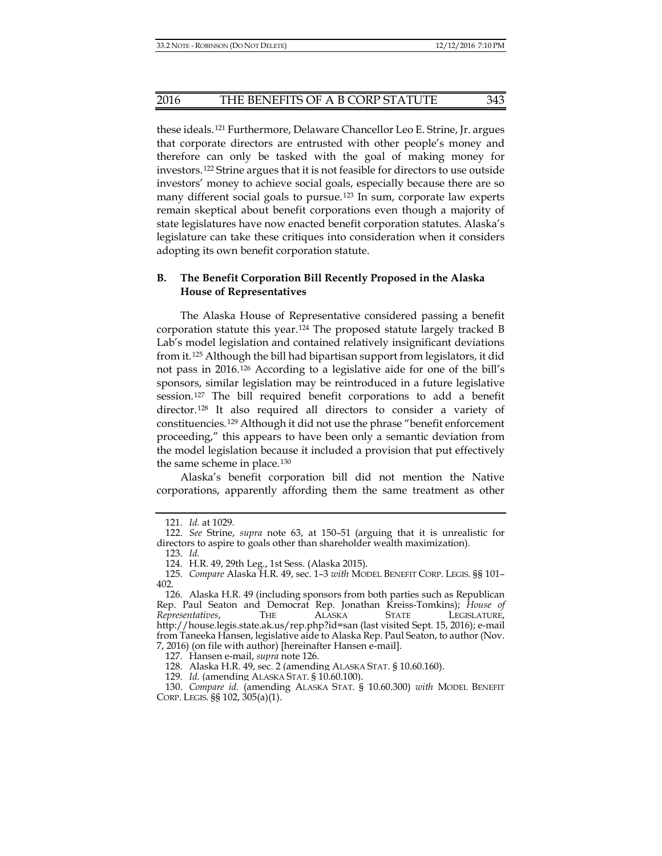#### 2016 THE BENEFITS OF A B CORP STATUTE 343

these ideals.[121](#page-14-0) Furthermore, Delaware Chancellor Leo E. Strine, Jr. argues that corporate directors are entrusted with other people's money and therefore can only be tasked with the goal of making money for investors.[122](#page-14-1) Strine argues that it is not feasible for directors to use outside investors' money to achieve social goals, especially because there are so many different social goals to pursue.[123](#page-14-2) In sum, corporate law experts remain skeptical about benefit corporations even though a majority of state legislatures have now enacted benefit corporation statutes. Alaska's legislature can take these critiques into consideration when it considers adopting its own benefit corporation statute.

## **B. The Benefit Corporation Bill Recently Proposed in the Alaska House of Representatives**

The Alaska House of Representative considered passing a benefit corporation statute this year.[124](#page-14-3) The proposed statute largely tracked B Lab's model legislation and contained relatively insignificant deviations from it.[125](#page-14-4) Although the bill had bipartisan support from legislators, it did not pass in 2016.[126](#page-14-5) According to a legislative aide for one of the bill's sponsors, similar legislation may be reintroduced in a future legislative session.[127](#page-14-6) The bill required benefit corporations to add a benefit director.[128](#page-14-7) It also required all directors to consider a variety of constituencies.[129](#page-14-8) Although it did not use the phrase "benefit enforcement proceeding," this appears to have been only a semantic deviation from the model legislation because it included a provision that put effectively the same scheme in place.<sup>[130](#page-14-9)</sup>

Alaska's benefit corporation bill did not mention the Native corporations, apparently affording them the same treatment as other

<sup>121.</sup> *Id.* at 1029.

<span id="page-14-2"></span><span id="page-14-1"></span><span id="page-14-0"></span><sup>122.</sup> *See* Strine, *supra* note [63,](#page-8-1) at 150–51 (arguing that it is unrealistic for directors to aspire to goals other than shareholder wealth maximization).

<sup>123.</sup> *Id.*

<sup>124.</sup> H.R. 49, 29th Leg., 1st Sess. (Alaska 2015).

<span id="page-14-4"></span><span id="page-14-3"></span><sup>125.</sup> *Compare* Alaska H.R. 49, sec. 1–3 *with* MODEL BENEFIT CORP. LEGIS. §§ 101– 402.

<span id="page-14-5"></span><sup>126.</sup> Alaska H.R. 49 (including sponsors from both parties such as Republican Rep. Paul Seaton and Democrat Rep. Jonathan Kreiss-Tomkins); *House of Representatives*, THE ALASKA STATE LEGISLATURE, http://house.legis.state.ak.us/rep.php?id=san (last visited Sept. 15, 2016); e-mail from Taneeka Hansen, legislative aide to Alaska Rep. Paul Seaton, to author (Nov. 7, 2016) (on file with author) [hereinafter Hansen e-mail].

<sup>127.</sup> Hansen e-mail, *supra* note 126.

<sup>128.</sup> Alaska H.R. 49, sec. 2 (amending ALASKA STAT. § 10.60.160).

<sup>129.</sup> *Id.* (amending ALASKA STAT. § 10.60.100).

<span id="page-14-9"></span><span id="page-14-8"></span><span id="page-14-7"></span><span id="page-14-6"></span><sup>130.</sup> *Compare id.* (amending ALASKA STAT. § 10.60.300) *with* MODEL BENEFIT CORP. LEGIS. §§ 102, 305(a)(1).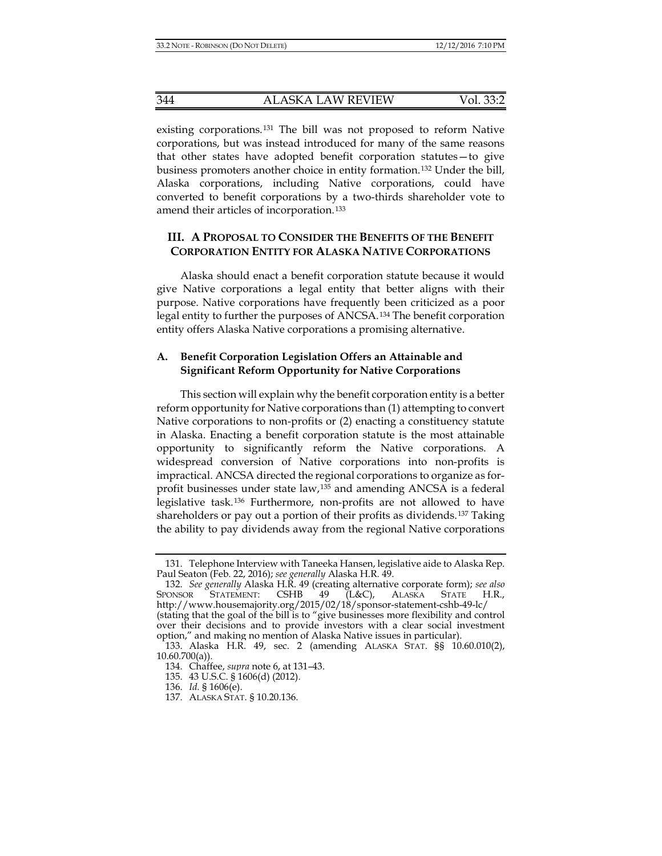existing corporations.[131](#page-15-0) The bill was not proposed to reform Native corporations, but was instead introduced for many of the same reasons that other states have adopted benefit corporation statutes—to give business promoters another choice in entity formation.[132](#page-15-1) Under the bill, Alaska corporations, including Native corporations, could have converted to benefit corporations by a two-thirds shareholder vote to amend their articles of incorporation.[133](#page-15-2)

# **III. A PROPOSAL TO CONSIDER THE BENEFITS OF THE BENEFIT CORPORATION ENTITY FOR ALASKA NATIVE CORPORATIONS**

Alaska should enact a benefit corporation statute because it would give Native corporations a legal entity that better aligns with their purpose. Native corporations have frequently been criticized as a poor legal entity to further the purposes of ANCSA.[134](#page-15-3) The benefit corporation entity offers Alaska Native corporations a promising alternative.

## **A. Benefit Corporation Legislation Offers an Attainable and Significant Reform Opportunity for Native Corporations**

This section will explain why the benefit corporation entity is a better reform opportunity for Native corporations than (1) attempting to convert Native corporations to non-profits or (2) enacting a constituency statute in Alaska. Enacting a benefit corporation statute is the most attainable opportunity to significantly reform the Native corporations. A widespread conversion of Native corporations into non-profits is impractical. ANCSA directed the regional corporations to organize as forprofit businesses under state law,[135](#page-15-4) and amending ANCSA is a federal legislative task.[136](#page-15-5) Furthermore, non-profits are not allowed to have shareholders or pay out a portion of their profits as dividends.[137](#page-15-6) Taking the ability to pay dividends away from the regional Native corporations

<span id="page-15-0"></span><sup>131.</sup> Telephone Interview with Taneeka Hansen, legislative aide to Alaska Rep. Paul Seaton (Feb. 22, 2016); *see generally* Alaska H.R. 49.

<span id="page-15-1"></span><sup>132.</sup> *See generally* Alaska H.R. 49 (creating alternative corporate form); *see also* SPONSOR STATEMENT: CSHB 49 (L&C), ALASKA STATE H.R., http://www.housemajority.org/2015/02/18/sponsor-statement-cshb-49-lc/ (stating that the goal of the bill is to "give businesses more flexibility and control over their decisions and to provide investors with a clear social investment option," and making no mention of Alaska Native issues in particular).

<span id="page-15-5"></span><span id="page-15-4"></span><span id="page-15-3"></span><span id="page-15-2"></span><sup>133.</sup> Alaska H.R. 49, sec. 2 (amending ALASKA STAT. §§ 10.60.010(2),  $10.60.700(a)$ ).

<sup>134.</sup> Chaffee, *supra* not[e 6,](#page-1-0) at 131–43.

<sup>135.</sup> 43 U.S.C. § 1606(d) (2012).

<sup>136.</sup> *Id.* § 1606(e).

<span id="page-15-6"></span><sup>137.</sup> ALASKA STAT. § 10.20.136.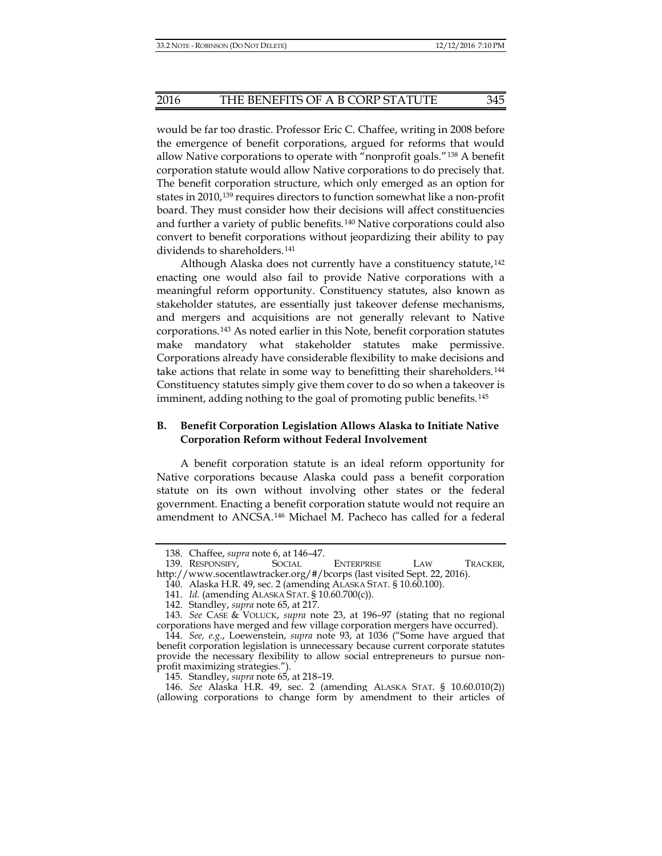would be far too drastic. Professor Eric C. Chaffee, writing in 2008 before the emergence of benefit corporations, argued for reforms that would allow Native corporations to operate with "nonprofit goals."[138](#page-16-0) A benefit corporation statute would allow Native corporations to do precisely that. The benefit corporation structure, which only emerged as an option for states in 2010,[139](#page-16-1) requires directors to function somewhat like a non-profit board. They must consider how their decisions will affect constituencies and further a variety of public benefits.[140](#page-16-2) Native corporations could also convert to benefit corporations without jeopardizing their ability to pay dividends to shareholders.<sup>[141](#page-16-3)</sup>

Although Alaska does not currently have a constituency statute,<sup>[142](#page-16-4)</sup> enacting one would also fail to provide Native corporations with a meaningful reform opportunity. Constituency statutes, also known as stakeholder statutes, are essentially just takeover defense mechanisms, and mergers and acquisitions are not generally relevant to Native corporations.[143](#page-16-5) As noted earlier in this Note, benefit corporation statutes make mandatory what stakeholder statutes make permissive. Corporations already have considerable flexibility to make decisions and take actions that relate in some way to benefitting their shareholders.[144](#page-16-6) Constituency statutes simply give them cover to do so when a takeover is imminent, adding nothing to the goal of promoting public benefits.<sup>[145](#page-16-7)</sup>

## **B. Benefit Corporation Legislation Allows Alaska to Initiate Native Corporation Reform without Federal Involvement**

A benefit corporation statute is an ideal reform opportunity for Native corporations because Alaska could pass a benefit corporation statute on its own without involving other states or the federal government. Enacting a benefit corporation statute would not require an amendment to ANCSA.[146](#page-16-8) Michael M. Pacheco has called for a federal

<sup>138.</sup> Chaffee, *supra* not[e 6,](#page-1-0) at 146–47.

<span id="page-16-2"></span><span id="page-16-1"></span><span id="page-16-0"></span><sup>139.</sup> RESPONSIFY, SOCIAL ENTERPRISE LAW TRACKER, http://www.socentlawtracker.org/#/bcorps (last visited Sept. 22, 2016).

<sup>140.</sup> Alaska H.R. 49, sec. 2 (amending ALASKA STAT. § 10.60.100).

<sup>141.</sup> *Id.* (amending ALASKA STAT. § 10.60.700(c)).

<sup>142.</sup> Standley, *supra* not[e 65,](#page-8-11) at 217.

<span id="page-16-5"></span><span id="page-16-4"></span><span id="page-16-3"></span><sup>143.</sup> *See* CASE & VOLUCK, *supra* note [23,](#page-3-0) at 196–97 (stating that no regional corporations have merged and few village corporation mergers have occurred).

<span id="page-16-6"></span><sup>144.</sup> *See, e.g.*, Loewenstein, *supra* note [93,](#page-11-0) at 1036 ("Some have argued that benefit corporation legislation is unnecessary because current corporate statutes provide the necessary flexibility to allow social entrepreneurs to pursue nonprofit maximizing strategies.").

<sup>145.</sup> Standley, *supra* not[e 65,](#page-8-11) at 218–19.

<span id="page-16-8"></span><span id="page-16-7"></span><sup>146.</sup> *See* Alaska H.R. 49, sec. 2 (amending ALASKA STAT. § 10.60.010(2)) (allowing corporations to change form by amendment to their articles of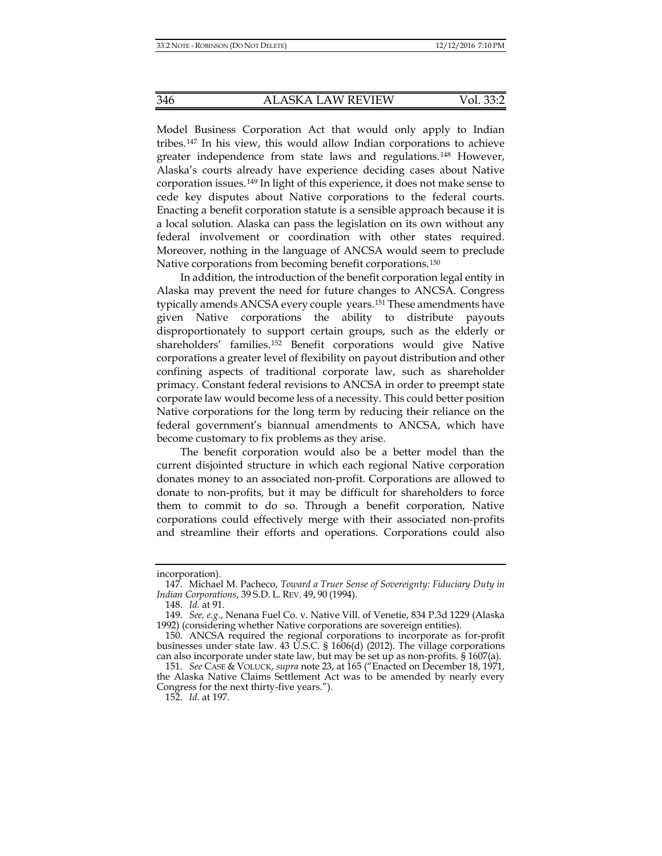Model Business Corporation Act that would only apply to Indian tribes.[147](#page-17-0) In his view, this would allow Indian corporations to achieve greater independence from state laws and regulations.[148](#page-17-1) However, Alaska's courts already have experience deciding cases about Native corporation issues.[149](#page-17-2) In light of this experience, it does not make sense to cede key disputes about Native corporations to the federal courts. Enacting a benefit corporation statute is a sensible approach because it is a local solution. Alaska can pass the legislation on its own without any federal involvement or coordination with other states required. Moreover, nothing in the language of ANCSA would seem to preclude Native corporations from becoming benefit corporations.[150](#page-17-3)

In addition, the introduction of the benefit corporation legal entity in Alaska may prevent the need for future changes to ANCSA. Congress typically amends ANCSA every couple years.[151](#page-17-4) These amendments have given Native corporations the ability to distribute payouts disproportionately to support certain groups, such as the elderly or shareholders' families.[152](#page-17-5) Benefit corporations would give Native corporations a greater level of flexibility on payout distribution and other confining aspects of traditional corporate law, such as shareholder primacy. Constant federal revisions to ANCSA in order to preempt state corporate law would become less of a necessity. This could better position Native corporations for the long term by reducing their reliance on the federal government's biannual amendments to ANCSA, which have become customary to fix problems as they arise.

The benefit corporation would also be a better model than the current disjointed structure in which each regional Native corporation donates money to an associated non-profit. Corporations are allowed to donate to non-profits, but it may be difficult for shareholders to force them to commit to do so. Through a benefit corporation, Native corporations could effectively merge with their associated non-profits and streamline their efforts and operations. Corporations could also

<span id="page-17-0"></span>incorporation).

<sup>147.</sup> Michael M. Pacheco, *Toward a Truer Sense of Sovereignty: Fiduciary Duty in Indian Corporations*, 39 S.D. L. REV. 49, 90 (1994).

<sup>148.</sup> *Id.* at 91.

<span id="page-17-2"></span><span id="page-17-1"></span><sup>149.</sup> *See, e.g.*, Nenana Fuel Co. v. Native Vill. of Venetie, 834 P.3d 1229 (Alaska 1992) (considering whether Native corporations are sovereign entities).

<span id="page-17-3"></span><sup>150.</sup> ANCSA required the regional corporations to incorporate as for-profit businesses under state law. 43 U.S.C. § 1606(d) (2012). The village corporations can also incorporate under state law, but may be set up as non-profits. § 1607(a).

<span id="page-17-5"></span><span id="page-17-4"></span><sup>151.</sup> *See* CASE & VOLUCK, *supra* note [23,](#page-3-0) at 165 ("Enacted on December 18, 1971, the Alaska Native Claims Settlement Act was to be amended by nearly every Congress for the next thirty-five years.").

<sup>152.</sup> *Id.* at 197.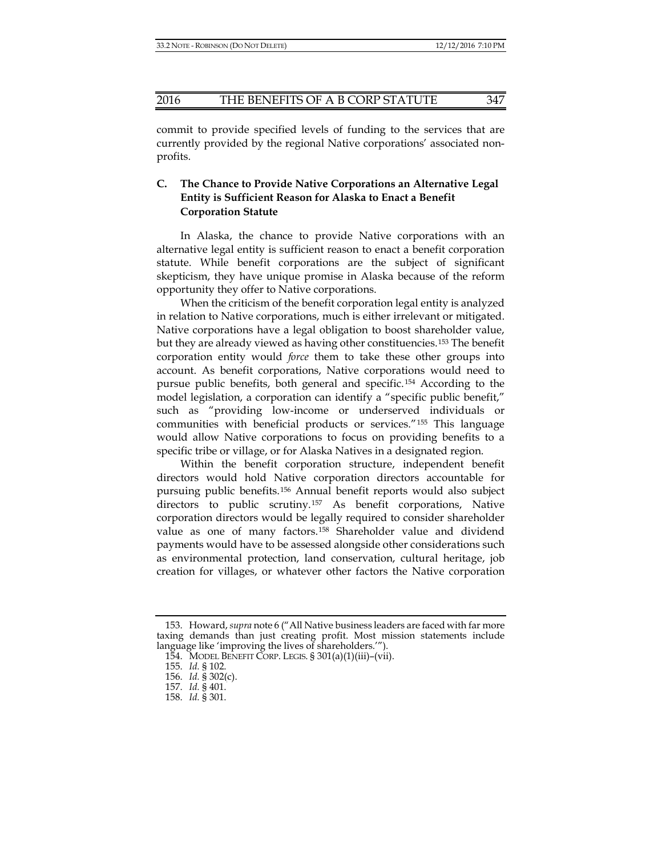commit to provide specified levels of funding to the services that are currently provided by the regional Native corporations' associated nonprofits.

# **C. The Chance to Provide Native Corporations an Alternative Legal Entity is Sufficient Reason for Alaska to Enact a Benefit Corporation Statute**

In Alaska, the chance to provide Native corporations with an alternative legal entity is sufficient reason to enact a benefit corporation statute. While benefit corporations are the subject of significant skepticism, they have unique promise in Alaska because of the reform opportunity they offer to Native corporations.

When the criticism of the benefit corporation legal entity is analyzed in relation to Native corporations, much is either irrelevant or mitigated. Native corporations have a legal obligation to boost shareholder value, but they are already viewed as having other constituencies.[153](#page-18-0) The benefit corporation entity would *force* them to take these other groups into account. As benefit corporations, Native corporations would need to pursue public benefits, both general and specific.[154](#page-18-1) According to the model legislation, a corporation can identify a "specific public benefit," such as "providing low-income or underserved individuals or communities with beneficial products or services."[155](#page-18-2) This language would allow Native corporations to focus on providing benefits to a specific tribe or village, or for Alaska Natives in a designated region.

Within the benefit corporation structure, independent benefit directors would hold Native corporation directors accountable for pursuing public benefits.[156](#page-18-3) Annual benefit reports would also subject directors to public scrutiny.[157](#page-18-4) As benefit corporations, Native corporation directors would be legally required to consider shareholder value as one of many factors.[158](#page-18-5) Shareholder value and dividend payments would have to be assessed alongside other considerations such as environmental protection, land conservation, cultural heritage, job creation for villages, or whatever other factors the Native corporation

<span id="page-18-3"></span><span id="page-18-2"></span><span id="page-18-1"></span><span id="page-18-0"></span><sup>153.</sup> Howard, *supra* not[e 6](#page-1-0) ("All Native business leaders are faced with far more taxing demands than just creating profit. Most mission statements include language like 'improving the lives of shareholders.'").

<sup>154.</sup> MODEL BENEFIT CORP. LEGIS. § 301(a)(1)(iii)–(vii).

<sup>155.</sup> *Id.* § 102.

<span id="page-18-4"></span><sup>156.</sup> *Id.* § 302(c).

<sup>157.</sup> *Id.* § 401.

<span id="page-18-5"></span><sup>158.</sup> *Id.* § 301.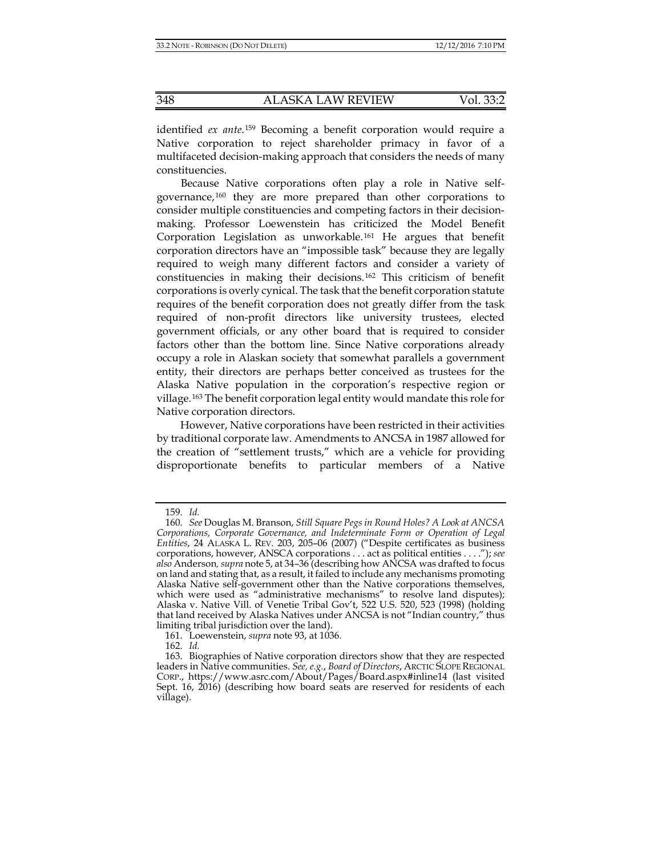identified *ex ante*.[159](#page-19-0) Becoming a benefit corporation would require a Native corporation to reject shareholder primacy in favor of a multifaceted decision-making approach that considers the needs of many constituencies.

<span id="page-19-5"></span>Because Native corporations often play a role in Native selfgovernance,[160](#page-19-1) they are more prepared than other corporations to consider multiple constituencies and competing factors in their decisionmaking. Professor Loewenstein has criticized the Model Benefit Corporation Legislation as unworkable.[161](#page-19-2) He argues that benefit corporation directors have an "impossible task" because they are legally required to weigh many different factors and consider a variety of constituencies in making their decisions.[162](#page-19-3) This criticism of benefit corporations is overly cynical. The task that the benefit corporation statute requires of the benefit corporation does not greatly differ from the task required of non-profit directors like university trustees, elected government officials, or any other board that is required to consider factors other than the bottom line. Since Native corporations already occupy a role in Alaskan society that somewhat parallels a government entity, their directors are perhaps better conceived as trustees for the Alaska Native population in the corporation's respective region or village.[163](#page-19-4) The benefit corporation legal entity would mandate this role for Native corporation directors.

However, Native corporations have been restricted in their activities by traditional corporate law. Amendments to ANCSA in 1987 allowed for the creation of "settlement trusts," which are a vehicle for providing disproportionate benefits to particular members of a Native

<sup>159.</sup> *Id.*

<span id="page-19-1"></span><span id="page-19-0"></span><sup>160.</sup> *See* Douglas M. Branson, *Still Square Pegs in Round Holes? A Look at ANCSA Corporations, Corporate Governance, and Indeterminate Form or Operation of Legal Entities*, 24 ALASKA L. REV. 203, 205–06 (2007) ("Despite certificates as business corporations, however, ANSCA corporations . . . act as political entities . . . ."); *see also* Anderson*, supra* not[e 5,](#page-1-7) at 34–36 (describing how ANCSA was drafted to focus on land and stating that, as a result, it failed to include any mechanisms promoting Alaska Native self-government other than the Native corporations themselves, which were used as "administrative mechanisms" to resolve land disputes); Alaska v. Native Vill. of Venetie Tribal Gov't, 522 U.S. 520, 523 (1998) (holding that land received by Alaska Natives under ANCSA is not "Indian country," thus limiting tribal jurisdiction over the land).

<sup>161.</sup> Loewenstein, *supra* not[e 93,](#page-11-0) at 1036.

<sup>162.</sup> *Id.*

<span id="page-19-4"></span><span id="page-19-3"></span><span id="page-19-2"></span><sup>163.</sup> Biographies of Native corporation directors show that they are respected leaders in Native communities. *See, e.g.*, *Board of Directors*, ARCTIC SLOPE REGIONAL CORP., https://www.asrc.com/About/Pages/Board.aspx#inline14 (last visited Sept. 16, 2016) (describing how board seats are reserved for residents of each village).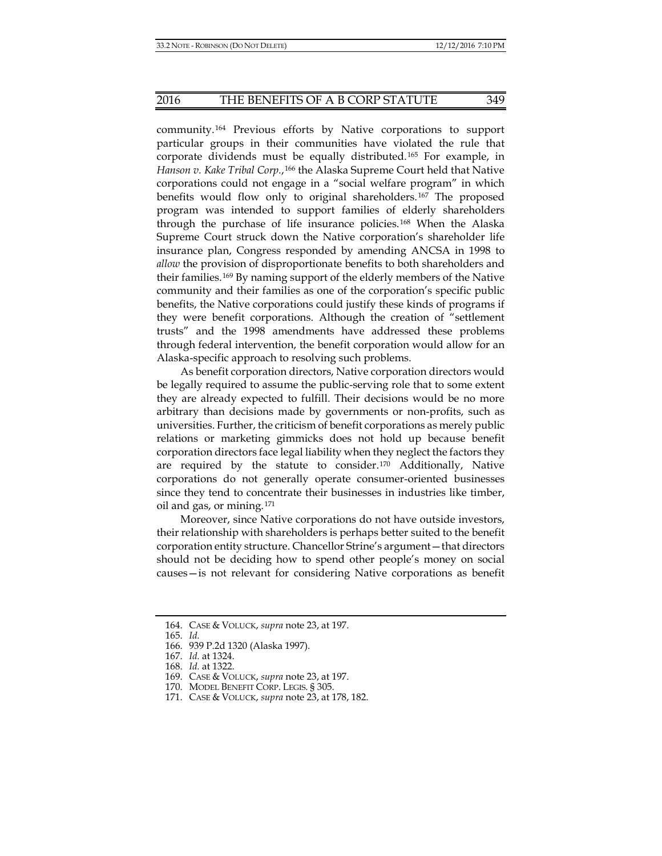community.[164](#page-20-0) Previous efforts by Native corporations to support particular groups in their communities have violated the rule that corporate dividends must be equally distributed.[165](#page-20-1) For example, in *Hanson v. Kake Tribal Corp.*,[166](#page-20-2) the Alaska Supreme Court held that Native corporations could not engage in a "social welfare program" in which benefits would flow only to original shareholders.[167](#page-20-3) The proposed program was intended to support families of elderly shareholders through the purchase of life insurance policies.[168](#page-20-4) When the Alaska Supreme Court struck down the Native corporation's shareholder life insurance plan, Congress responded by amending ANCSA in 1998 to *allow* the provision of disproportionate benefits to both shareholders and their families.[169](#page-20-5) By naming support of the elderly members of the Native community and their families as one of the corporation's specific public benefits, the Native corporations could justify these kinds of programs if they were benefit corporations. Although the creation of "settlement trusts" and the 1998 amendments have addressed these problems through federal intervention, the benefit corporation would allow for an Alaska-specific approach to resolving such problems.

As benefit corporation directors, Native corporation directors would be legally required to assume the public-serving role that to some extent they are already expected to fulfill. Their decisions would be no more arbitrary than decisions made by governments or non-profits, such as universities. Further, the criticism of benefit corporations as merely public relations or marketing gimmicks does not hold up because benefit corporation directors face legal liability when they neglect the factors they are required by the statute to consider.[170](#page-20-6) Additionally, Native corporations do not generally operate consumer-oriented businesses since they tend to concentrate their businesses in industries like timber, oil and gas, or mining.[171](#page-20-7)

Moreover, since Native corporations do not have outside investors, their relationship with shareholders is perhaps better suited to the benefit corporation entity structure. Chancellor Strine's argument—that directors should not be deciding how to spend other people's money on social causes—is not relevant for considering Native corporations as benefit

<span id="page-20-2"></span><span id="page-20-1"></span><span id="page-20-0"></span><sup>164.</sup> CASE & VOLUCK, *supra* note [23,](#page-3-0) at 197.

<sup>165.</sup> *Id.*

<span id="page-20-3"></span><sup>166.</sup> 939 P.2d 1320 (Alaska 1997).

<sup>167.</sup> *Id.* at 1324.

<span id="page-20-5"></span><span id="page-20-4"></span><sup>168.</sup> *Id.* at 1322.

<sup>169.</sup> CASE & VOLUCK, *supra* note [23,](#page-3-0) at 197.

<span id="page-20-6"></span><sup>170.</sup> MODEL BENEFIT CORP. LEGIS. § 305.

<span id="page-20-7"></span><sup>171.</sup> CASE & VOLUCK, *supra* note [23,](#page-3-0) at 178, 182.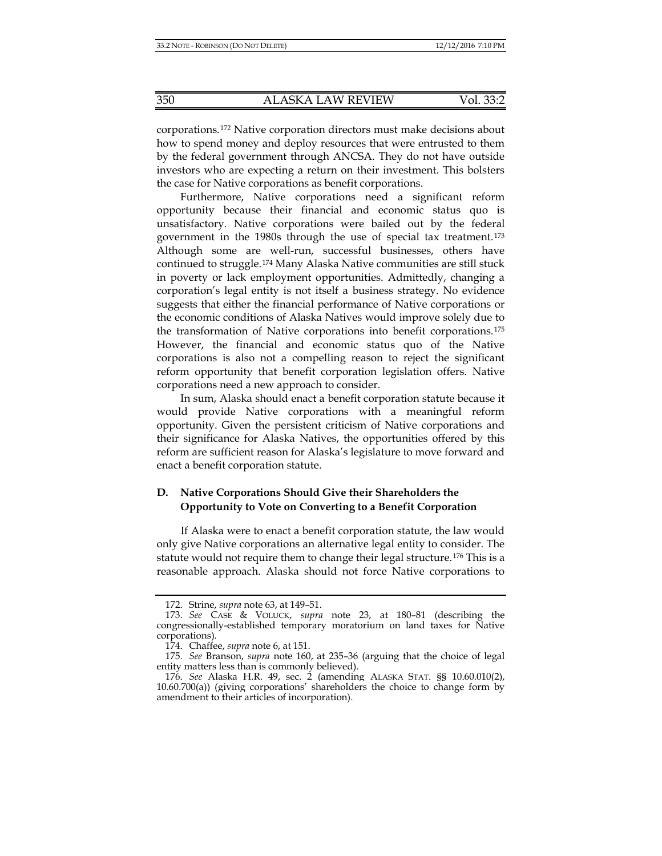corporations.[172](#page-21-0) Native corporation directors must make decisions about how to spend money and deploy resources that were entrusted to them by the federal government through ANCSA. They do not have outside investors who are expecting a return on their investment. This bolsters the case for Native corporations as benefit corporations.

Furthermore, Native corporations need a significant reform opportunity because their financial and economic status quo is unsatisfactory. Native corporations were bailed out by the federal government in the 1980s through the use of special tax treatment.[173](#page-21-1) Although some are well-run, successful businesses, others have continued to struggle.[174](#page-21-2) Many Alaska Native communities are still stuck in poverty or lack employment opportunities. Admittedly, changing a corporation's legal entity is not itself a business strategy. No evidence suggests that either the financial performance of Native corporations or the economic conditions of Alaska Natives would improve solely due to the transformation of Native corporations into benefit corporations.[175](#page-21-3) However, the financial and economic status quo of the Native corporations is also not a compelling reason to reject the significant reform opportunity that benefit corporation legislation offers. Native corporations need a new approach to consider.

In sum, Alaska should enact a benefit corporation statute because it would provide Native corporations with a meaningful reform opportunity. Given the persistent criticism of Native corporations and their significance for Alaska Natives, the opportunities offered by this reform are sufficient reason for Alaska's legislature to move forward and enact a benefit corporation statute.

# **D. Native Corporations Should Give their Shareholders the Opportunity to Vote on Converting to a Benefit Corporation**

If Alaska were to enact a benefit corporation statute, the law would only give Native corporations an alternative legal entity to consider. The statute would not require them to change their legal structure.[176](#page-21-4) This is a reasonable approach. Alaska should not force Native corporations to

<sup>172.</sup> Strine, *supra* not[e 63,](#page-8-1) at 149–51.

<span id="page-21-1"></span><span id="page-21-0"></span><sup>173.</sup> *See* CASE & VOLUCK, *supra* note [23,](#page-3-0) at 180–81 (describing the congressionally-established temporary moratorium on land taxes for Native corporations).

<sup>174.</sup> Chaffee, *supra* not[e 6,](#page-1-0) at 151.

<span id="page-21-3"></span><span id="page-21-2"></span><sup>175.</sup> *See* Branson, *supra* note [160,](#page-19-5) at 235–36 (arguing that the choice of legal entity matters less than is commonly believed).

<span id="page-21-4"></span><sup>176.</sup> *See* Alaska H.R. 49, sec. 2 (amending ALASKA STAT. §§ 10.60.010(2), 10.60.700(a)) (giving corporations' shareholders the choice to change form by amendment to their articles of incorporation).